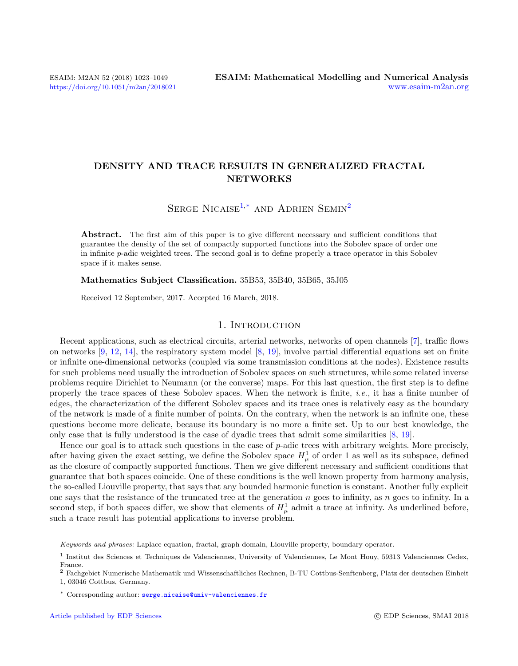## DENSITY AND TRACE RESULTS IN GENERALIZED FRACTAL NETWORKS

SERGE NICAISE<sup>[1,](#page-0-0)[\\*](#page-0-1)</sup> AND ADRIEN SEMIN<sup>[2](#page-0-2)</sup>

Abstract. The first aim of this paper is to give different necessary and sufficient conditions that guarantee the density of the set of compactly supported functions into the Sobolev space of order one in infinite p-adic weighted trees. The second goal is to define properly a trace operator in this Sobolev space if it makes sense.

#### Mathematics Subject Classification. 35B53, 35B40, 35B65, 35J05

Received 12 September, 2017. Accepted 16 March, 2018.

## 1. INTRODUCTION

Recent applications, such as electrical circuits, arterial networks, networks of open channels [\[7\]](#page-25-0), traffic flows on networks [\[9,](#page-25-1) [12,](#page-25-2) [14\]](#page-25-3), the respiratory system model [\[8,](#page-25-4) [19\]](#page-25-5), involve partial differential equations set on finite or infinite one-dimensional networks (coupled via some transmission conditions at the nodes). Existence results for such problems need usually the introduction of Sobolev spaces on such structures, while some related inverse problems require Dirichlet to Neumann (or the converse) maps. For this last question, the first step is to define properly the trace spaces of these Sobolev spaces. When the network is finite, i.e., it has a finite number of edges, the characterization of the different Sobolev spaces and its trace ones is relatively easy as the boundary of the network is made of a finite number of points. On the contrary, when the network is an infinite one, these questions become more delicate, because its boundary is no more a finite set. Up to our best knowledge, the only case that is fully understood is the case of dyadic trees that admit some similarities [\[8,](#page-25-4) [19\]](#page-25-5).

Hence our goal is to attack such questions in the case of p-adic trees with arbitrary weights. More precisely, after having given the exact setting, we define the Sobolev space  $H^1_\mu$  of order 1 as well as its subspace, defined as the closure of compactly supported functions. Then we give different necessary and sufficient conditions that guarantee that both spaces coincide. One of these conditions is the well known property from harmony analysis, the so-called Liouville property, that says that any bounded harmonic function is constant. Another fully explicit one says that the resistance of the truncated tree at the generation n goes to infinity, as n goes to infinity. In a second step, if both spaces differ, we show that elements of  $H^1_\mu$  admit a trace at infinity. As underlined before, such a trace result has potential applications to inverse problem.

<span id="page-0-1"></span>Keywords and phrases: Laplace equation, fractal, graph domain, Liouville property, boundary operator.

<span id="page-0-0"></span><sup>&</sup>lt;sup>1</sup> Institut des Sciences et Techniques de Valenciennes, University of Valenciennes, Le Mont Houy, 59313 Valenciennes Cedex, France.

<span id="page-0-2"></span><sup>2</sup> Fachgebiet Numerische Mathematik und Wissenschaftliches Rechnen, B-TU Cottbus-Senftenberg, Platz der deutschen Einheit 1, 03046 Cottbus, Germany.

<sup>\*</sup> Corresponding author: [serge.nicaise@univ-valenciennes.fr](mailto:serge.nicaise@univ-valenciennes.fr)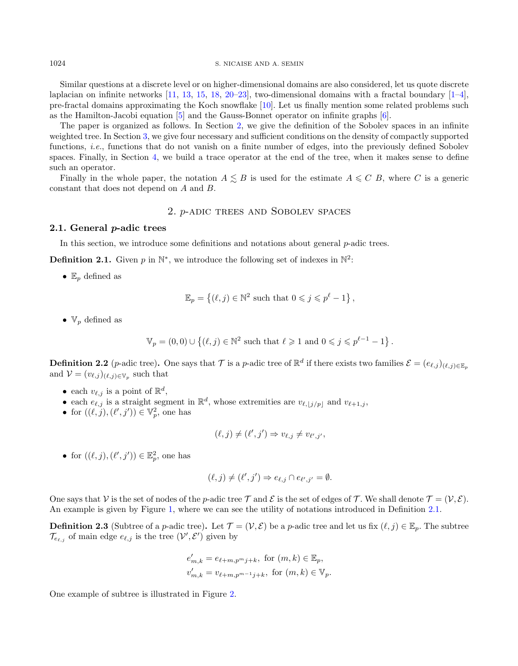1024 S. NICAISE AND A. SEMIN

Similar questions at a discrete level or on higher-dimensional domains are also considered, let us quote discrete laplacian on infinite networks  $[11, 13, 15, 18, 20–23]$  $[11, 13, 15, 18, 20–23]$  $[11, 13, 15, 18, 20–23]$  $[11, 13, 15, 18, 20–23]$  $[11, 13, 15, 18, 20–23]$  $[11, 13, 15, 18, 20–23]$  $[11, 13, 15, 18, 20–23]$  $[11, 13, 15, 18, 20–23]$  $[11, 13, 15, 18, 20–23]$  $[11, 13, 15, 18, 20–23]$ , two-dimensional domains with a fractal boundary  $[1–4]$  $[1–4]$ , pre-fractal domains approximating the Koch snowflake [\[10\]](#page-25-13). Let us finally mention some related problems such as the Hamilton-Jacobi equation [\[5\]](#page-25-14) and the Gauss-Bonnet operator on infinite graphs [\[6\]](#page-25-15).

The paper is organized as follows. In Section [2,](#page-1-0) we give the definition of the Sobolev spaces in an infinite weighted tree. In Section [3,](#page-6-0) we give four necessary and sufficient conditions on the density of compactly supported functions, i.e., functions that do not vanish on a finite number of edges, into the previously defined Sobolev spaces. Finally, in Section [4,](#page-18-0) we build a trace operator at the end of the tree, when it makes sense to define such an operator.

Finally in the whole paper, the notation  $A \leq B$  is used for the estimate  $A \leq C B$ , where C is a generic constant that does not depend on A and B.

## 2. p-adic trees and Sobolev spaces

#### <span id="page-1-0"></span>2.1. General p-adic trees

In this section, we introduce some definitions and notations about general p-adic trees.

<span id="page-1-1"></span>**Definition 2.1.** Given p in  $\mathbb{N}^*$ , we introduce the following set of indexes in  $\mathbb{N}^2$ :

•  $\mathbb{E}_p$  defined as

$$
\mathbb{E}_p = \left\{ (\ell, j) \in \mathbb{N}^2 \text{ such that } 0 \leqslant j \leqslant p^{\ell} - 1 \right\},\
$$

•  $V_p$  defined as

$$
\mathbb{V}_p = (0,0) \cup \left\{ (\ell, j) \in \mathbb{N}^2 \text{ such that } \ell \geqslant 1 \text{ and } 0 \leqslant j \leqslant p^{\ell-1} - 1 \right\}.
$$

<span id="page-1-2"></span>**Definition 2.2** (*p*-adic tree). One says that  $\mathcal{T}$  is a *p*-adic tree of  $\mathbb{R}^d$  if there exists two families  $\mathcal{E} = (e_{\ell,j})_{(\ell,j)\in\mathbb{E}_p}$ and  $\mathcal{V} = (v_{\ell,j})_{(\ell,j)\in V_p}$  such that

- each  $v_{\ell,j}$  is a point of  $\mathbb{R}^d$ ,
- each  $e_{\ell,j}$  is a straight segment in  $\mathbb{R}^d$ , whose extremities are  $v_{\ell,j/p}$  and  $v_{\ell+1,j}$ ,
- for  $((\ell, \tilde{j}), (\ell', j')) \in \mathbb{V}_p^2$ , one has

$$
(\ell, j) \neq (\ell', j') \Rightarrow v_{\ell, j} \neq v_{\ell', j'},
$$

• for  $((\ell, j), (\ell', j')) \in \mathbb{E}_p^2$ , one has

$$
(\ell, j) \neq (\ell', j') \Rightarrow e_{\ell, j} \cap e_{\ell', j'} = \emptyset.
$$

One says that V is the set of nodes of the p-adic tree T and E is the set of edges of T. We shall denote  $\mathcal{T} = (\mathcal{V}, \mathcal{E})$ . An example is given by Figure [1,](#page-2-0) where we can see the utility of notations introduced in Definition [2.1.](#page-1-1)

**Definition 2.3** (Subtree of a p-adic tree). Let  $\mathcal{T} = (\mathcal{V}, \mathcal{E})$  be a p-adic tree and let us fix  $(\ell, j) \in \mathbb{E}_p$ . The subtree  $\mathcal{T}_{e_{\ell,j}}$  of main edge  $e_{\ell,j}$  is the tree  $(\mathcal{V}', \mathcal{E}')$  given by

$$
e'_{m,k} = e_{\ell+m,p^mj+k}, \text{ for } (m,k) \in \mathbb{E}_p,
$$
  

$$
v'_{m,k} = v_{\ell+m,p^{m-1}j+k}, \text{ for } (m,k) \in \mathbb{V}_p.
$$

One example of subtree is illustrated in Figure [2.](#page-2-1)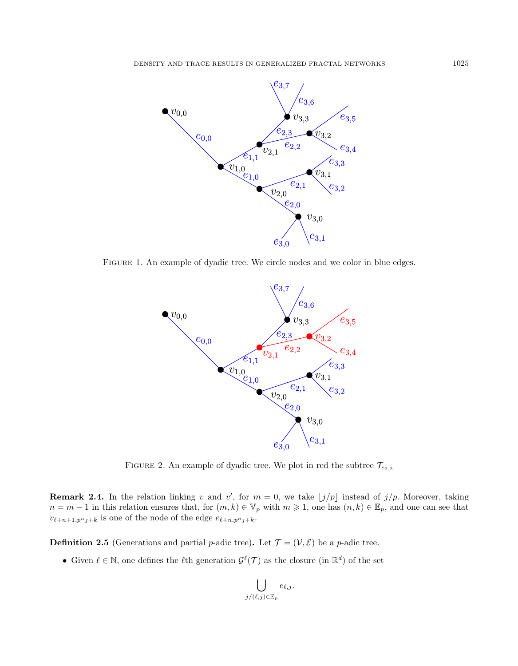

Figure 1. An example of dyadic tree. We circle nodes and we color in blue edges.

<span id="page-2-0"></span>

<span id="page-2-1"></span>FIGURE 2. An example of dyadic tree. We plot in red the subtree  $\mathcal{T}_{e_{2,2}}$ 

**Remark 2.4.** In the relation linking v and v', for  $m = 0$ , we take  $\lfloor j/p \rfloor$  instead of  $j/p$ . Moreover, taking  $n = m - 1$  in this relation ensures that, for  $(m, k) \in \mathbb{V}_p$  with  $m \geq 1$ , one has  $(n, k) \in \mathbb{E}_p$ , and one can see that  $v_{\ell+n+1,p^nj+k}$  is one of the node of the edge  $e_{\ell+n,p^nj+k}$ .

**Definition 2.5** (Generations and partial p-adic tree). Let  $\mathcal{T} = (\mathcal{V}, \mathcal{E})$  be a p-adic tree.

• Given  $\ell \in \mathbb{N}$ , one defines the  $\ell$ th generation  $\mathcal{G}^{\ell}(\mathcal{T})$  as the closure (in  $\mathbb{R}^d$ ) of the set

$$
\bigcup_{j/(\ell,j)\in \mathbb{E}_p} e_{\ell,j}.
$$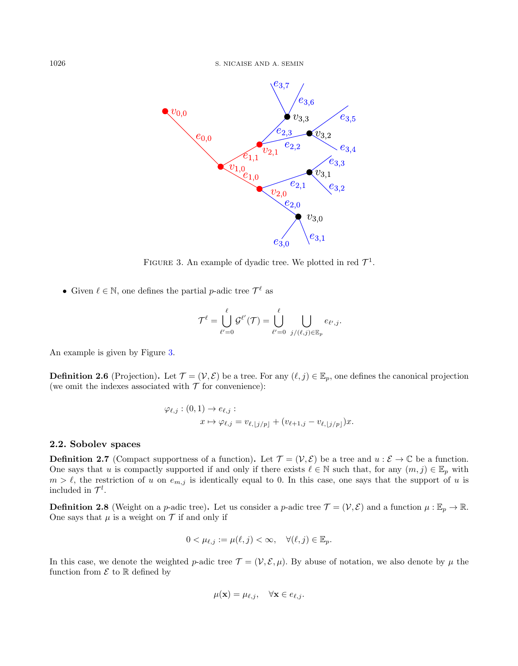

<span id="page-3-0"></span>FIGURE 3. An example of dyadic tree. We plotted in red  $\mathcal{T}^1$ .

• Given  $\ell \in \mathbb{N}$ , one defines the partial *p*-adic tree  $\mathcal{T}^{\ell}$  as

$$
\mathcal{T}^{\ell} = \bigcup_{\ell'=0}^{\ell} \mathcal{G}^{\ell'}(\mathcal{T}) = \bigcup_{\ell'=0}^{\ell} \bigcup_{j/(\ell,j) \in \mathbb{E}_p} e_{\ell',j}.
$$

An example is given by Figure [3.](#page-3-0)

**Definition 2.6** (Projection). Let  $\mathcal{T} = (\mathcal{V}, \mathcal{E})$  be a tree. For any  $(\ell, j) \in \mathbb{E}_p$ , one defines the canonical projection (we omit the indexes associated with  $\mathcal T$  for convenience):

$$
\varphi_{\ell,j} : (0,1) \to e_{\ell,j} : \n x \mapsto \varphi_{\ell,j} = v_{\ell, \lfloor j/p \rfloor} + (v_{\ell+1,j} - v_{\ell, \lfloor j/p \rfloor})x.
$$

## 2.2. Sobolev spaces

**Definition 2.7** (Compact supportness of a function). Let  $\mathcal{T} = (\mathcal{V}, \mathcal{E})$  be a tree and  $u : \mathcal{E} \to \mathbb{C}$  be a function. One says that u is compactly supported if and only if there exists  $\ell \in \mathbb{N}$  such that, for any  $(m, j) \in \mathbb{E}_p$  with  $m > \ell$ , the restriction of u on  $e_{m,j}$  is identically equal to 0. In this case, one says that the support of u is included in  $\mathcal{T}^l$ .

<span id="page-3-1"></span>**Definition 2.8** (Weight on a *p*-adic tree). Let us consider a *p*-adic tree  $\mathcal{T} = (\mathcal{V}, \mathcal{E})$  and a function  $\mu : \mathbb{E}_p \to \mathbb{R}$ . One says that  $\mu$  is a weight on  $\mathcal T$  if and only if

$$
0 < \mu_{\ell,j} := \mu(\ell,j) < \infty, \quad \forall (\ell,j) \in \mathbb{E}_p.
$$

In this case, we denote the weighted p-adic tree  $\mathcal{T} = (\mathcal{V}, \mathcal{E}, \mu)$ . By abuse of notation, we also denote by  $\mu$  the function from  $\mathcal E$  to  $\mathbb R$  defined by

$$
\mu(\mathbf{x}) = \mu_{\ell,j}, \quad \forall \mathbf{x} \in e_{\ell,j}.
$$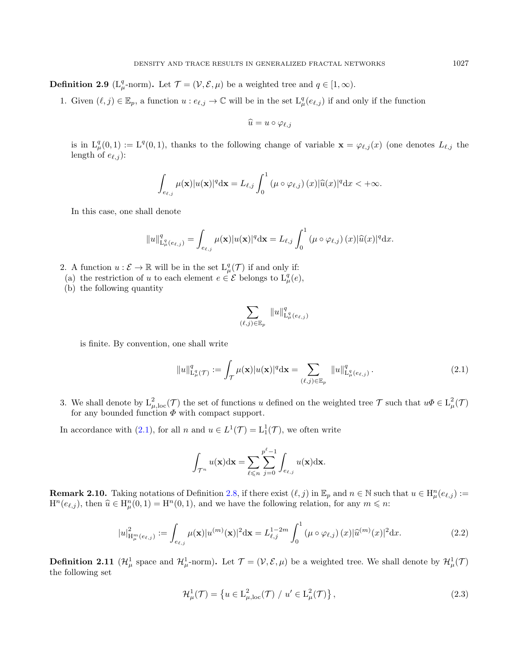**Definition 2.9** ( $L^q_\mu$ -norm). Let  $\mathcal{T} = (\mathcal{V}, \mathcal{E}, \mu)$  be a weighted tree and  $q \in [1, \infty)$ .

1. Given  $(\ell, j) \in \mathbb{E}_p$ , a function  $u : e_{\ell,j} \to \mathbb{C}$  will be in the set  $L^q_\mu(e_{\ell,j})$  if and only if the function

$$
\widehat{u}=u\circ\varphi_{\ell,j}
$$

is in  $L^q_\mu(0,1) := L^q(0,1)$ , thanks to the following change of variable  $\mathbf{x} = \varphi_{\ell,j}(x)$  (one denotes  $L_{\ell,j}$  the length of  $e_{\ell,j}$ :

$$
\int_{e_{\ell,j}} \mu(\mathbf{x}) |u(\mathbf{x})|^q \mathrm{d}\mathbf{x} = L_{\ell,j} \int_0^1 (\mu \circ \varphi_{\ell,j}) (x) |\widehat{u}(x)|^q \mathrm{d}x < +\infty.
$$

In this case, one shall denote

$$
||u||_{\mathrm{L}^q_\mu(e_{\ell,j})}^q = \int_{e_{\ell,j}} \mu(\mathbf{x}) |u(\mathbf{x})|^q \mathrm{d}\mathbf{x} = L_{\ell,j} \int_0^1 (\mu \circ \varphi_{\ell,j}) (x) |\widehat{u}(x)|^q \mathrm{d}x.
$$

2. A function  $u : \mathcal{E} \to \mathbb{R}$  will be in the set  $L^q_\mu(\mathcal{T})$  if and only if:

(a) the restriction of u to each element  $e \in \mathcal{E}$  belongs to  $L^q_\mu(e)$ ,

(b) the following quantity

$$
\sum_{(\ell,j)\in\mathbb{E}_p} \|u\|_{\mathrm{L}_\mu^q(e_{\ell,j})}^q
$$

is finite. By convention, one shall write

<span id="page-4-0"></span>
$$
||u||_{\mathcal{L}^q_{\mu}(\mathcal{T})}^q := \int_{\mathcal{T}} \mu(\mathbf{x}) |u(\mathbf{x})|^q \, d\mathbf{x} = \sum_{(\ell,j) \in \mathbb{E}_p} ||u||_{\mathcal{L}^q_{\mu}(e_{\ell,j})}^q.
$$
 (2.1)

3. We shall denote by  $L^2_{\mu,\text{loc}}(\mathcal{T})$  the set of functions u defined on the weighted tree  $\mathcal{T}$  such that  $u\Phi \in L^2_{\mu}(\mathcal{T})$ for any bounded function  $\Phi$  with compact support.

In accordance with [\(2.1\)](#page-4-0), for all  $n$  and  $u \in L^1(\mathcal{T}) = L^1_1(\mathcal{T})$ , we often write

$$
\int_{\mathcal{T}^n} u(\mathbf{x}) \mathrm{d}\mathbf{x} = \sum_{\ell \leq n} \sum_{j=0}^{p^{\ell}-1} \int_{e_{\ell,j}} u(\mathbf{x}) \mathrm{d}\mathbf{x}.
$$

**Remark 2.10.** Taking notations of Definition [2.8,](#page-3-1) if there exist  $(\ell, j)$  in  $\mathbb{E}_p$  and  $n \in \mathbb{N}$  such that  $u \in H_\mu^n(e_{\ell,j})$  :=  $H^n(e_{\ell,j})$ , then  $\hat{u} \in H^n_\mu(0,1) = H^n(0,1)$ , and we have the following relation, for any  $m \leq n$ :

$$
|u|_{\mathcal{H}_{\mu}^{m}(e_{\ell,j})}^{2} := \int_{e_{\ell,j}} \mu(\mathbf{x}) |u^{(m)}(\mathbf{x})|^{2} d\mathbf{x} = L_{\ell,j}^{1-2m} \int_{0}^{1} (\mu \circ \varphi_{\ell,j}) (x) |\widehat{u}^{(m)}(x)|^{2} dx.
$$
 (2.2)

**Definition 2.11** ( $\mathcal{H}^1_\mu$  space and  $\mathcal{H}^1_\mu$ -norm). Let  $\mathcal{T} = (\mathcal{V}, \mathcal{E}, \mu)$  be a weighted tree. We shall denote by  $\mathcal{H}^1_\mu(\mathcal{T})$ the following set

$$
\mathcal{H}^1_{\mu}(\mathcal{T}) = \left\{ u \in \mathcal{L}^2_{\mu,\text{loc}}(\mathcal{T}) \ / \ u' \in \mathcal{L}^2_{\mu}(\mathcal{T}) \right\},\tag{2.3}
$$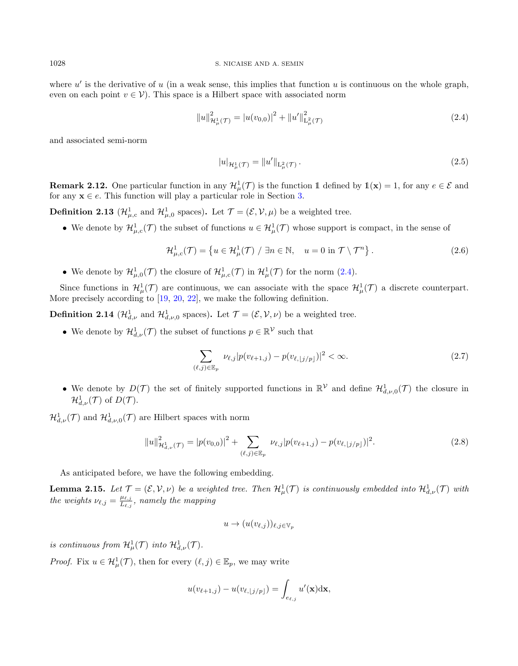where  $u'$  is the derivative of u (in a weak sense, this implies that function u is continuous on the whole graph, even on each point  $v \in V$ ). This space is a Hilbert space with associated norm

<span id="page-5-0"></span>
$$
||u||_{\mathcal{H}^{1}_{\mu}(\mathcal{T})}^{2} = |u(v_{0,0})|^{2} + ||u'||_{\mathcal{L}^{2}_{\mu}(\mathcal{T})}^{2}
$$
\n(2.4)

and associated semi-norm

$$
|u|_{\mathcal{H}^1_{\mu}(\mathcal{T})} = ||u'||_{\mathcal{L}^2_{\mu}(\mathcal{T})}.
$$
\n(2.5)

**Remark 2.12.** One particular function in any  $\mathcal{H}^1_\mu(\mathcal{T})$  is the function 1 defined by  $\mathbb{1}(\mathbf{x}) = 1$ , for any  $e \in \mathcal{E}$  and for any  $x \in e$ . This function will play a particular role in Section [3.](#page-6-0)

<span id="page-5-1"></span>**Definition 2.13** ( $\mathcal{H}_{\mu,c}^1$  and  $\mathcal{H}_{\mu,0}^1$  spaces). Let  $\mathcal{T} = (\mathcal{E}, \mathcal{V}, \mu)$  be a weighted tree.

• We denote by  $\mathcal{H}_{\mu,c}^1(\mathcal{T})$  the subset of functions  $u \in \mathcal{H}_{\mu}^1(\mathcal{T})$  whose support is compact, in the sense of

$$
\mathcal{H}^1_{\mu,c}(\mathcal{T}) = \left\{ u \in \mathcal{H}^1_{\mu}(\mathcal{T}) \; / \; \exists n \in \mathbb{N}, \quad u = 0 \text{ in } \mathcal{T} \setminus \mathcal{T}^n \right\}. \tag{2.6}
$$

• We denote by  $\mathcal{H}_{\mu,0}^1(\mathcal{T})$  the closure of  $\mathcal{H}_{\mu,c}^1(\mathcal{T})$  in  $\mathcal{H}_{\mu}^1(\mathcal{T})$  for the norm [\(2.4\)](#page-5-0).

Since functions in  $\mathcal{H}^1_\mu(\mathcal{T})$  are continuous, we can associate with the space  $\mathcal{H}^1_\mu(\mathcal{T})$  a discrete counterpart. More precisely according to [\[19,](#page-25-5) [20,](#page-25-10) [22\]](#page-26-1), we make the following definition.

**Definition 2.14** ( $\mathcal{H}_{d,\nu}^1$  and  $\mathcal{H}_{d,\nu,0}^1$  spaces). Let  $\mathcal{T} = (\mathcal{E}, \mathcal{V}, \nu)$  be a weighted tree.

• We denote by  $\mathcal{H}^1_{d,\nu}(\mathcal{T})$  the subset of functions  $p \in \mathbb{R}^{\mathcal{V}}$  such that

$$
\sum_{(\ell,j)\in\mathbb{E}_p} \nu_{\ell,j} |p(v_{\ell+1,j}) - p(v_{\ell,\lfloor j/p\rfloor})|^2 < \infty. \tag{2.7}
$$

• We denote by  $D(\mathcal{T})$  the set of finitely supported functions in  $\mathbb{R}^{\mathcal{V}}$  and define  $\mathcal{H}^1_{d,\nu,0}(\mathcal{T})$  the closure in  $\mathcal{H}_{d,\nu}^1(\mathcal{T})$  of  $D(\mathcal{T})$ .

 $\mathcal{H}_{d,\nu}^1(\mathcal{T})$  and  $\mathcal{H}_{d,\nu,0}^1(\mathcal{T})$  are Hilbert spaces with norm

$$
||u||_{\mathcal{H}^{1}_{d,\nu}(\mathcal{T})}^{2} = |p(v_{0,0})|^{2} + \sum_{(\ell,j)\in\mathbb{E}_{p}} \nu_{\ell,j} |p(v_{\ell+1,j}) - p(v_{\ell,\lfloor j/p\rfloor})|^{2}.
$$
\n(2.8)

As anticipated before, we have the following embedding.

<span id="page-5-2"></span>**Lemma 2.15.** Let  $\mathcal{T} = (\mathcal{E}, \mathcal{V}, \nu)$  be a weighted tree. Then  $\mathcal{H}^1_\mu(\mathcal{T})$  is continuously embedded into  $\mathcal{H}^1_{d,\nu}(\mathcal{T})$  with the weights  $\nu_{\ell,j} = \frac{\mu_{\ell,j}}{L_{\ell,j}}$  $\frac{\mu_{\ell,j}}{L_{\ell,j}}$ , namely the mapping

$$
u \to (u(v_{\ell,j}))_{\ell,j \in V_p}
$$

is continuous from  $\mathcal{H}^1_\mu(\mathcal{T})$  into  $\mathcal{H}^1_{d,\nu}(\mathcal{T})$ .

*Proof.* Fix  $u \in \mathcal{H}^1_\mu(\mathcal{T})$ , then for every  $(\ell, j) \in \mathbb{E}_p$ , we may write

$$
u(v_{\ell+1,j}) - u(v_{\ell,\lfloor j/p\rfloor}) = \int_{e_{\ell,j}} u'(\mathbf{x}) \mathrm{d}\mathbf{x},
$$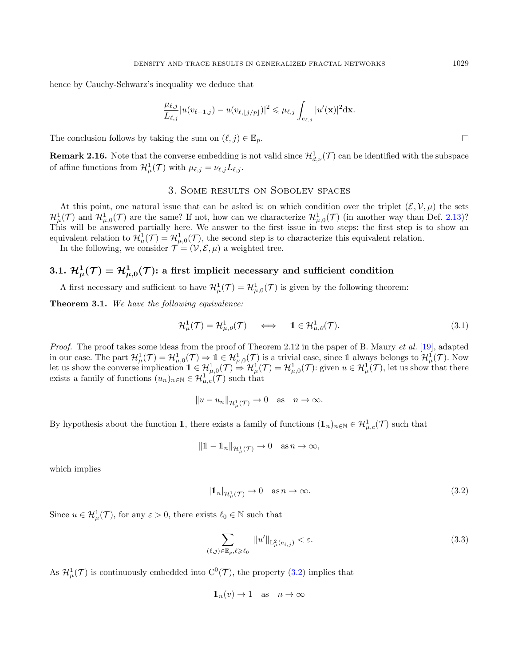hence by Cauchy-Schwarz's inequality we deduce that

$$
\frac{\mu_{\ell,j}}{L_{\ell,j}}|u(v_{\ell+1,j})-u(v_{\ell,\lfloor j/p\rfloor})|^2\leq \mu_{\ell,j}\int_{e_{\ell,j}}|u'(\mathbf{x})|^2\mathrm{d}\mathbf{x}.
$$

The conclusion follows by taking the sum on  $(\ell, j) \in \mathbb{E}_p$ .

<span id="page-6-3"></span>**Remark 2.16.** Note that the converse embedding is not valid since  $\mathcal{H}^1_{d,\nu}(\mathcal{T})$  can be identified with the subspace of affine functions from  $\mathcal{H}^1_\mu(\mathcal{T})$  with  $\mu_{\ell,j} = \nu_{\ell,j}L_{\ell,j}$ .

## 3. Some results on Sobolev spaces

<span id="page-6-0"></span>At this point, one natural issue that can be asked is: on which condition over the triplet  $(\mathcal{E}, \mathcal{V}, \mu)$  the sets  $\mathcal{H}^1_\mu(\mathcal{T})$  and  $\mathcal{H}^1_{\mu,0}(\mathcal{T})$  are the same? If not, how can we characterize  $\mathcal{H}^1_{\mu,0}(\mathcal{T})$  (in another way than Def. [2.13\)](#page-5-1)? This will be answered partially here. We answer to the first issue in two steps: the first step is to show an equivalent relation to  $\mathcal{H}^1_\mu(\mathcal{T}) = \mathcal{H}^1_{\mu,0}(\mathcal{T})$ , the second step is to characterize this equivalent relation.

In the following, we consider  $\mathcal{T} = (\mathcal{V}, \mathcal{E}, \mu)$  a weighted tree.

# $3.1. \; \mathcal{H}_{\mu}^{1}(\mathcal{T}) = \mathcal{H}_{\mu,0}^{1}(\mathcal{T})$ : a first implicit necessary and sufficient condition

A first necessary and sufficient to have  $\mathcal{H}^1_\mu(\mathcal{T}) = \mathcal{H}^1_{\mu,0}(\mathcal{T})$  is given by the following theorem:

<span id="page-6-4"></span>**Theorem 3.1.** We have the following equivalence:

$$
\mathcal{H}^1_{\mu}(\mathcal{T}) = \mathcal{H}^1_{\mu,\theta}(\mathcal{T}) \quad \Longleftrightarrow \quad 1 \in \mathcal{H}^1_{\mu,\theta}(\mathcal{T}). \tag{3.1}
$$

Proof. The proof takes some ideas from the proof of Theorem 2.12 in the paper of B. Maury et al. [\[19\]](#page-25-5), adapted in our case. The part  $\mathcal{H}^1_\mu(\mathcal{T}) = \mathcal{H}^1_{\mu,0}(\mathcal{T}) \Rightarrow 1 \in \mathcal{H}^1_{\mu,0}(\mathcal{T})$  is a trivial case, since 1 always belongs to  $\mathcal{H}^1_\mu(\mathcal{T})$ . Now Let us show the converse implication  $1 \in \mathcal{H}_{\mu,0}^1(\mathcal{T}) \Rightarrow \mathcal{H}_{\mu}^1(\mathcal{T}) = \mathcal{H}_{\mu,0}^1(\mathcal{T})$ : given  $u \in \mathcal{H}_{\mu}^1(\mathcal{T})$ , let us show that there exists a family of functions  $(u_n)_{n\in\mathbb{N}}\in\mathcal{H}_{\mu,c}^1(\mathcal{T})$  such that

$$
||u - u_n||_{\mathcal{H}^1_\mu(\mathcal{T})} \to 0 \quad \text{as} \quad n \to \infty.
$$

By hypothesis about the function 1, there exists a family of functions  $(1_n)_{n\in\mathbb{N}}\in\mathcal{H}_{\mu,c}^1(\mathcal{T})$  such that

$$
\|1 - 1_n\|_{\mathcal{H}^1_\mu(\mathcal{T})} \to 0 \quad \text{as } n \to \infty,
$$

which implies

<span id="page-6-1"></span>
$$
|\mathbb{1}_n|_{\mathcal{H}^1_\mu(\mathcal{T})} \to 0 \quad \text{as } n \to \infty. \tag{3.2}
$$

Since  $u \in \mathcal{H}^1_\mu(\mathcal{T})$ , for any  $\varepsilon > 0$ , there exists  $\ell_0 \in \mathbb{N}$  such that

<span id="page-6-2"></span>
$$
\sum_{(\ell,j)\in\mathbb{E}_p,\ell\geqslant\ell_0}||u'||_{\mathcal{L}^2_{\mu}(e_{\ell,j})}<\varepsilon.
$$
\n(3.3)

As  $\mathcal{H}^1_\mu(\mathcal{T})$  is continuously embedded into  $C^0(\overline{\mathcal{T}})$ , the property [\(3.2\)](#page-6-1) implies that

$$
1\!\!1_n(v) \to 1 \quad \text{as} \quad n \to \infty
$$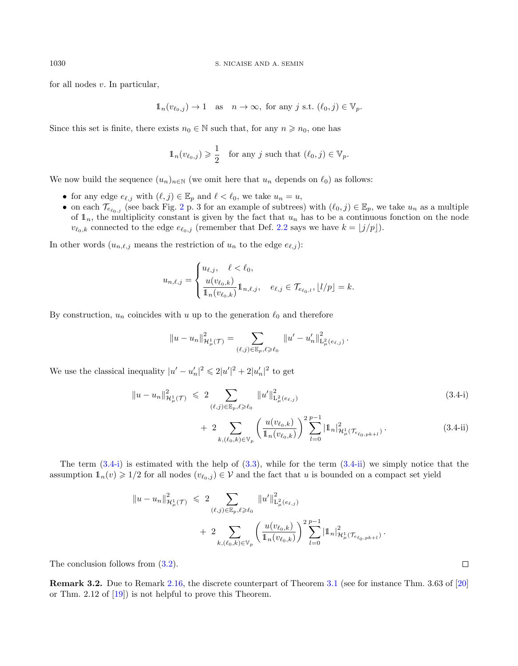for all nodes  $v$ . In particular,

$$
\mathbb{1}_n(v_{\ell_0,j}) \to 1 \quad \text{as} \quad n \to \infty, \text{ for any } j \text{ s.t. } (\ell_0, j) \in \mathbb{V}_p.
$$

Since this set is finite, there exists  $n_0 \in \mathbb{N}$  such that, for any  $n \geq n_0$ , one has

$$
\mathbb{1}_n(v_{\ell_0,j}) \geqslant \frac{1}{2} \quad \text{for any } j \text{ such that } (\ell_0, j) \in \mathbb{V}_p.
$$

We now build the sequence  $(u_n)_{n\in\mathbb{N}}$  (we omit here that  $u_n$  depends on  $\ell_0$ ) as follows:

- for any edge  $e_{\ell,j}$  with  $(\ell, j) \in \mathbb{E}_p$  and  $\ell < \ell_0$ , we take  $u_n = u$ ,
- on each  $\mathcal{T}_{e_{\ell_0,j}}$  (see back Fig. [2](#page-2-1) p. 3 for an example of subtrees) with  $(\ell_0, j) \in \mathbb{E}_p$ , we take  $u_n$  as a multiple of  $\mathbb{1}_n$ , the multiplicity constant is given by the fact that  $u_n$  has to be a continuous fonction on the node  $v_{\ell_0,k}$  connected to the edge  $e_{\ell_0,j}$  (remember that Def. [2.2](#page-1-2) says we have  $k = \lfloor j/p \rfloor$ ).

In other words  $(u_{n,\ell,j}$  means the restriction of  $u_n$  to the edge  $e_{\ell,j}$ ):

$$
u_{n,\ell,j} = \begin{cases} u_{\ell,j}, & \ell < \ell_0, \\ \frac{u(v_{\ell_0,k})}{1_n(v_{\ell_0,k})} 1_{n,\ell,j}, & e_{\ell,j} \in \mathcal{T}_{e_{\ell_0,l}}, \lfloor l/p \rfloor = k. \end{cases}
$$

By construction,  $u_n$  coincides with u up to the generation  $\ell_0$  and therefore

<span id="page-7-1"></span><span id="page-7-0"></span>
$$
||u - u_n||_{\mathcal{H}^1_\mu(\mathcal{T})}^2 = \sum_{(\ell,j) \in \mathbb{E}_p, \ell \geqslant \ell_0} ||u' - u'_n||_{\mathrm{L}^2_\mu(e_{\ell,j})}^2.
$$

We use the classical inequality  $|u'-u'_n|^2 \leq 2|u'|^2 + 2|u'_n|^2$  to get

$$
||u - u_n||_{\mathcal{H}^1_{\mu}(\mathcal{T})}^2 \leq 2 \sum_{(\ell,j) \in \mathbb{E}_p, \ell \geq \ell_0} ||u'||_{\mathbf{L}^2_{\mu}(e_{\ell,j})}^2
$$
\n
$$
+ 2 \sum_{k, (\ell_0, k) \in \mathbb{V}_p} \left( \frac{u(v_{\ell_0, k})}{\mathbf{1}_n(v_{\ell_0, k})} \right)^2 \sum_{l=0}^{p-1} |\mathbf{1}_n|_{\mathcal{H}^1_{\mu}(\mathcal{T}_{e_{\ell_0, pk+l}})}^2.
$$
\n(3.4-i)

The term  $(3.4-i)$  is estimated with the help of  $(3.3)$ , while for the term  $(3.4-i)$  we simply notice that the assumption  $\mathbb{1}_n(v) \geq 1/2$  for all nodes  $(v_{\ell_0,j}) \in \mathcal{V}$  and the fact that u is bounded on a compact set yield

$$
\|u - u_n\|_{\mathcal{H}^1_{\mu}(\mathcal{T})}^2 \leq 2 \sum_{(\ell,j) \in \mathbb{E}_p, \ell \geq \ell_0} \|u'\|_{\mathcal{L}^2_{\mu}(e_{\ell,j})}^2 + 2 \sum_{k,(\ell_0,k) \in \mathbb{V}_p} \left(\frac{u(v_{\ell_0,k})}{\mathbb{1}_n(v_{\ell_0,k})}\right)^2 \sum_{l=0}^{p-1} |\mathbb{1}_n|_{\mathcal{H}^1_{\mu}(\mathcal{T}_{e_{\ell_0,pk+l}})}^2.
$$

The conclusion follows from  $(3.2)$ .

Remark 3.2. Due to Remark [2.16,](#page-6-3) the discrete counterpart of Theorem [3.1](#page-6-4) (see for instance Thm. 3.63 of [\[20\]](#page-25-10) or Thm. 2.12 of [\[19\]](#page-25-5)) is not helpful to prove this Theorem.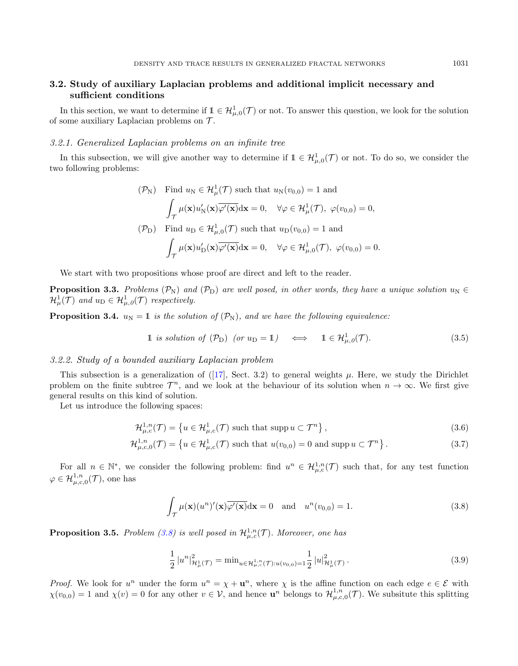## 3.2. Study of auxiliary Laplacian problems and additional implicit necessary and sufficient conditions

In this section, we want to determine if  $\mathbb{1} \in \mathcal{H}_{\mu,0}^1(\mathcal{T})$  or not. To answer this question, we look for the solution of some auxiliary Laplacian problems on  $\mathcal{T}$ .

#### 3.2.1. Generalized Laplacian problems on an infinite tree

In this subsection, we will give another way to determine if  $\mathbb{1} \in \mathcal{H}_{\mu,0}^1(\mathcal{T})$  or not. To do so, we consider the two following problems:

$$
(\mathcal{P}_{N}) \quad \text{Find } u_{N} \in \mathcal{H}^{1}_{\mu}(\mathcal{T}) \text{ such that } u_{N}(v_{0,0}) = 1 \text{ and}
$$
\n
$$
\int_{\mathcal{T}} \mu(\mathbf{x}) u'_{N}(\mathbf{x}) \overline{\varphi'(\mathbf{x})} d\mathbf{x} = 0, \quad \forall \varphi \in \mathcal{H}^{1}_{\mu}(\mathcal{T}), \ \varphi(v_{0,0}) = 0,
$$
\n
$$
(\mathcal{P}_{D}) \quad \text{Find } u_{D} \in \mathcal{H}^{1}_{\mu,0}(\mathcal{T}) \text{ such that } u_{D}(v_{0,0}) = 1 \text{ and}
$$
\n
$$
\int_{\mathcal{T}} \mu(\mathbf{x}) u'_{D}(\mathbf{x}) \overline{\varphi'(\mathbf{x})} d\mathbf{x} = 0, \quad \forall \varphi \in \mathcal{H}^{1}_{\mu,0}(\mathcal{T}), \ \varphi(v_{0,0}) = 0.
$$

We start with two propositions whose proof are direct and left to the reader.

<span id="page-8-5"></span>**Proposition 3.3.** Problems ( $\mathcal{P}_N$ ) and ( $\mathcal{P}_D$ ) are well posed, in other words, they have a unique solution  $u_N \in$  $\mathcal{H}^1_\mu(\mathcal{T})$  and  $u_D \in \mathcal{H}^1_{\mu,\theta}(\mathcal{T})$  respectively.

<span id="page-8-4"></span>**Proposition 3.4.**  $u_N = 1$  is the solution of  $(\mathcal{P}_N)$ , and we have the following equivalence:

<span id="page-8-3"></span>
$$
1 \text{ is solution of } (\mathcal{P}_D) \text{ (or } u_D = 1) \iff 1 \in \mathcal{H}^1_{\mu,0}(\mathcal{T}). \tag{3.5}
$$

#### 3.2.2. Study of a bounded auxiliary Laplacian problem

This subsection is a generalization of ([\[17\]](#page-25-16), Sect. 3.2) to general weights  $\mu$ . Here, we study the Dirichlet problem on the finite subtree  $\mathcal{T}^n$ , and we look at the behaviour of its solution when  $n \to \infty$ . We first give general results on this kind of solution.

Let us introduce the following spaces:

$$
\mathcal{H}^{1,n}_{\mu,c}(\mathcal{T}) = \left\{ u \in \mathcal{H}^1_{\mu,c}(\mathcal{T}) \text{ such that } \operatorname{supp} u \subset \mathcal{T}^n \right\},\tag{3.6}
$$

$$
\mathcal{H}_{\mu,c,0}^{1,n}(\mathcal{T}) = \left\{ u \in \mathcal{H}_{\mu,c}^{1}(\mathcal{T}) \text{ such that } u(v_{0,0}) = 0 \text{ and } \text{supp } u \subset \mathcal{T}^{n} \right\}. \tag{3.7}
$$

For all  $n \in \mathbb{N}^*$ , we consider the following problem: find  $u^n \in \mathcal{H}_{\mu,c}^{1,n}(\mathcal{T})$  such that, for any test function  $\varphi \in \mathcal{H}_{\mu,c,0}^{1,n}(\mathcal{T}),$  one has

<span id="page-8-0"></span>
$$
\int_{\mathcal{T}} \mu(\mathbf{x}) (u^n)'(\mathbf{x}) \overline{\varphi'(\mathbf{x})} \mathrm{d}\mathbf{x} = 0 \quad \text{and} \quad u^n(v_{0,0}) = 1. \tag{3.8}
$$

<span id="page-8-2"></span>**Proposition 3.5.** Problem [\(3.8\)](#page-8-0) is well posed in  $\mathcal{H}_{\mu,c}^{1,n}(\mathcal{T})$ . Moreover, one has

<span id="page-8-1"></span>
$$
\frac{1}{2} |u^n|^2_{\mathcal{H}^1_{\mu}(\mathcal{T})} = \min_{u \in \mathcal{H}^{1,n}_{\mu,c}(\mathcal{T}): u(v_{0,0}) = 1} \frac{1}{2} |u|^2_{\mathcal{H}^1_{\mu}(\mathcal{T})}.
$$
\n(3.9)

*Proof.* We look for  $u^n$  under the form  $u^n = \chi + \mathbf{u}^n$ , where  $\chi$  is the affine function on each edge  $e \in \mathcal{E}$  with  $\chi(v_{0,0}) = 1$  and  $\chi(v) = 0$  for any other  $v \in V$ , and hence  $\mathbf{u}^n$  belongs to  $\mathcal{H}^{1,n}_{\mu,c,0}(\mathcal{T})$ . We subsitute this splitting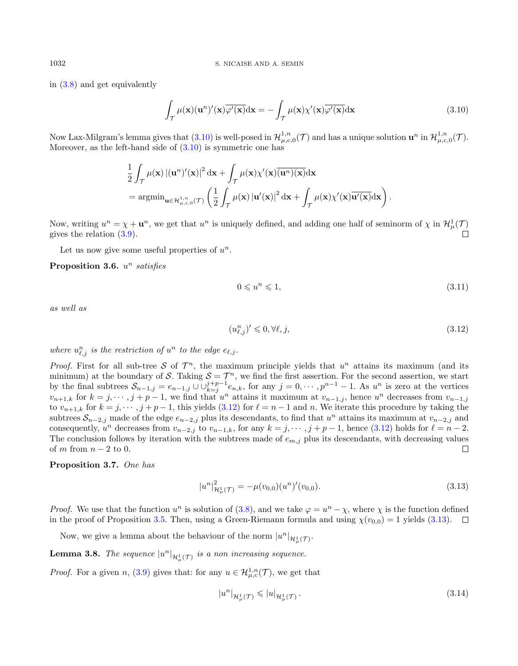in [\(3.8\)](#page-8-0) and get equivalently

<span id="page-9-0"></span>
$$
\int_{\mathcal{T}} \mu(\mathbf{x})(\mathbf{u}^n)'(\mathbf{x}) \overline{\varphi'(\mathbf{x})} d\mathbf{x} = -\int_{\mathcal{T}} \mu(\mathbf{x}) \chi'(\mathbf{x}) \overline{\varphi'(\mathbf{x})} d\mathbf{x}
$$
\n(3.10)

Now Lax-Milgram's lemma gives that  $(3.10)$  is well-posed in  $\mathcal{H}_{\mu,c,0}^{1,n}(\mathcal{T})$  and has a unique solution  $\mathbf{u}^n$  in  $\mathcal{H}_{\mu,c,0}^{1,n}(\mathcal{T})$ . Moreover, as the left-hand side of  $(3.10)$  is symmetric one has

$$
\frac{1}{2} \int_{\mathcal{T}} \mu(\mathbf{x}) \left| (\mathbf{u}^n)'(\mathbf{x}) \right|^2 d\mathbf{x} + \int_{\mathcal{T}} \mu(\mathbf{x}) \chi'(\mathbf{x}) \overline{(\mathbf{u}^n)(\mathbf{x})} d\mathbf{x}
$$
\n
$$
= \operatorname{argmin}_{\mathbf{u} \in \mathcal{H}^{1,n}_{\mu,c,0}(\mathcal{T})} \left( \frac{1}{2} \int_{\mathcal{T}} \mu(\mathbf{x}) \left| \mathbf{u}'(\mathbf{x}) \right|^2 d\mathbf{x} + \int_{\mathcal{T}} \mu(\mathbf{x}) \chi'(\mathbf{x}) \overline{\mathbf{u}'(\mathbf{x})} d\mathbf{x} \right).
$$

Now, writing  $u^n = \chi + \mathbf{u}^n$ , we get that  $u^n$  is uniquely defined, and adding one half of seminorm of  $\chi$  in  $\mathcal{H}^1_\mu(\mathcal{T})$ gives the relation [\(3.9\)](#page-8-1).  $\Box$ 

Let us now give some useful properties of  $u^n$ .

Proposition 3.6.  $u^n$  satisfies

<span id="page-9-4"></span>
$$
0 \leqslant u^n \leqslant 1,\tag{3.11}
$$

as well as

<span id="page-9-1"></span>
$$
(u_{\ell,j}^n)' \leqslant 0, \forall \ell, j,
$$
\n
$$
(3.12)
$$

where  $u_{\ell,j}^n$  is the restriction of  $u^n$  to the edge  $e_{\ell,j}$ .

*Proof.* First for all sub-tree S of  $\mathcal{T}^n$ , the maximum principle yields that  $u^n$  attains its maximum (and its minimum) at the boundary of S. Taking  $S = \mathcal{T}^n$ , we find the first assertion. For the second assertion, we start by the final subtrees  $S_{n-1,j} = e_{n-1,j} \cup \bigcup_{k=j}^{j+p-1} e_{n,k}$ , for any  $j = 0, \dots, p^{n-1} - 1$ . As  $u^n$  is zero at the vertices  $v_{n+1,k}$  for  $k = j, \dots, j+p-1$ , we find that  $u^n$  attains it maximum at  $v_{n-1,j}$ , hence  $u^n$  decreases from  $v_{n-1,j}$ to  $v_{n+1,k}$  for  $k = j, \dots, j+p-1$ , this yields [\(3.12\)](#page-9-1) for  $\ell = n-1$  and n. We iterate this procedure by taking the subtrees  $S_{n-2,j}$  made of the edge  $e_{n-2,j}$  plus its descendants, to find that  $u^n$  attains its maximum at  $v_{n-2,j}$  and consequently,  $u^n$  decreases from  $v_{n-2,j}$  to  $v_{n-1,k}$ , for any  $k = j, \dots, j + p - 1$ , hence  $(3.12)$  holds for  $\ell = n - 2$ . The conclusion follows by iteration with the subtrees made of  $e_{m,j}$  plus its descendants, with decreasing values of m from  $n-2$  to 0.  $\Box$ 

#### <span id="page-9-5"></span>Proposition 3.7. One has

<span id="page-9-2"></span>
$$
|u^n|_{\mathcal{H}^1_{\mu}(\mathcal{T})}^2 = -\mu(v_{0,0})(u^n)'(v_{0,0}).
$$
\n(3.13)

*Proof.* We use that the function  $u^n$  is solution of [\(3.8\)](#page-8-0), and we take  $\varphi = u^n - \chi$ , where  $\chi$  is the function defined in the proof of Proposition [3.5.](#page-8-2) Then, using a Green-Riemann formula and using  $\chi(v_{0,0}) = 1$  yields [\(3.13\)](#page-9-2).  $\Box$ 

Now, we give a lemma about the behaviour of the norm  $|u^n|_{\mathcal{H}^1_\mu(\mathcal{T})}$ .

<span id="page-9-3"></span>**Lemma 3.8.** The sequence  $|u^n|_{\mathcal{H}^1_\mu(\mathcal{T})}$  is a non increasing sequence.

*Proof.* For a given n, [\(3.9\)](#page-8-1) gives that: for any  $u \in \mathcal{H}_{\mu,c}^{1,n}(\mathcal{T})$ , we get that

$$
|u^n|_{\mathcal{H}^1_{\mu}(\mathcal{T})} \leqslant |u|_{\mathcal{H}^1_{\mu}(\mathcal{T})}.
$$
\n
$$
(3.14)
$$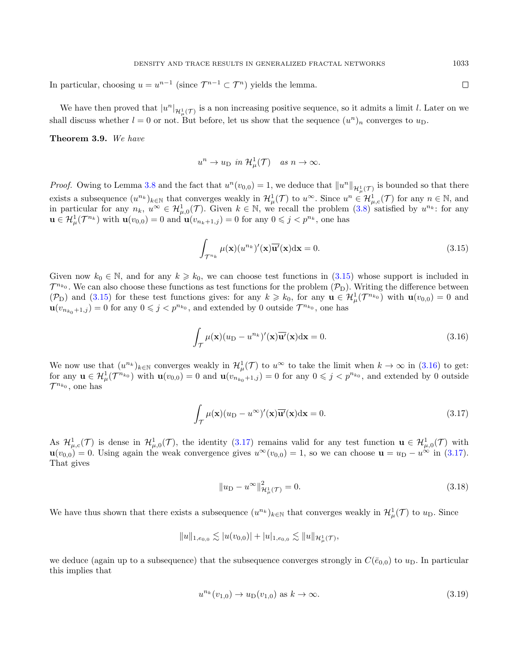In particular, choosing  $u = u^{n-1}$  (since  $\mathcal{T}^{n-1} \subset \mathcal{T}^n$ ) yields the lemma.

We have then proved that  $|u^n|_{\mathcal{H}^1_\mu(\mathcal{T})}$  is a non increasing positive sequence, so it admits a limit l. Later on we shall discuss whether  $l = 0$  or not. But before, let us show that the sequence  $(u^n)_n$  converges to  $u_D$ .

Theorem 3.9. We have

$$
u^n \to u_D \text{ in } \mathcal{H}^1_\mu(\mathcal{T}) \quad \text{as } n \to \infty.
$$

*Proof.* Owing to Lemma [3.8](#page-9-3) and the fact that  $u^n(v_{0,0}) = 1$ , we deduce that  $||u^n||_{\mathcal{H}^1_\mu(\mathcal{T})}$  is bounded so that there exists a subsequence  $(u^{n_k})_{k\in\mathbb{N}}$  that converges weakly in  $\mathcal{H}^1_\mu(\mathcal{T})$  to  $u^\infty$ . Since  $u^n \in \mathcal{H}^1_{\mu,c}(\mathcal{T})$  for any  $n \in \mathbb{N}$ , and in particular for any  $n_k$ ,  $u^{\infty} \in H^1_{\mu,0}(\mathcal{T})$ . Given  $k \in \mathbb{N}$ , we recall the problem  $(3.8)$  satisfied by  $u^{n_k}$ : for any  $\mathbf{u} \in \mathcal{H}^1_\mu(\mathcal{T}^{n_k})$  with  $\mathbf{u}(v_{0,0}) = 0$  and  $\mathbf{u}(v_{n_k+1,j}) = 0$  for any  $0 \leq j < p^{n_k}$ , one has

<span id="page-10-0"></span>
$$
\int_{\mathcal{T}^{n_k}} \mu(\mathbf{x}) (u^{n_k})'(\mathbf{x}) \overline{\mathbf{u}'}(\mathbf{x}) d\mathbf{x} = 0.
$$
\n(3.15)

Given now  $k_0 \in \mathbb{N}$ , and for any  $k \geq k_0$ , we can choose test functions in [\(3.15\)](#page-10-0) whose support is included in  $\mathcal{T}^{n_{k_0}}$ . We can also choose these functions as test functions for the problem  $(\mathcal{P}_D)$ . Writing the difference between (P<sub>D</sub>) and [\(3.15\)](#page-10-0) for these test functions gives: for any  $k \geq k_0$ , for any  $\mathbf{u} \in \mathcal{H}^1_\mu(\mathcal{T}^{n_{k_0}})$  with  $\mathbf{u}(v_{0,0}) = 0$  and  $\mathbf{u}(v_{n_{k_0}+1,j}) = 0$  for any  $0 \leq j < p^{n_{k_0}}$ , and extended by 0 outside  $\mathcal{T}^{n_{k_0}}$ , one has

<span id="page-10-1"></span>
$$
\int_{\mathcal{T}} \mu(\mathbf{x}) (u_{\mathrm{D}} - u^{n_k})'(\mathbf{x}) \overline{\mathbf{u}'}(\mathbf{x}) d\mathbf{x} = 0.
$$
\n(3.16)

We now use that  $(u^{n_k})_{k\in\mathbb{N}}$  converges weakly in  $\mathcal{H}^1_\mu(\mathcal{T})$  to  $u^\infty$  to take the limit when  $k\to\infty$  in  $(3.16)$  to get: for any  $\mathbf{u} \in \mathcal{H}^1_\mu(\mathcal{T}^{n_{k_0}})$  with  $\mathbf{u}(v_{0,0}) = 0$  and  $\mathbf{u}(v_{n_{k_0}+1,j}) = 0$  for any  $0 \leq j < p^{n_{k_0}}$ , and extended by 0 outside  $\mathcal{T}^{n_{k_0}},$  one has

<span id="page-10-2"></span>
$$
\int_{\mathcal{T}} \mu(\mathbf{x})(u_{\mathcal{D}} - u^{\infty})'(\mathbf{x})\overline{\mathbf{u}'}(\mathbf{x})d\mathbf{x} = 0.
$$
\n(3.17)

As  $\mathcal{H}^1_{\mu,c}(\mathcal{T})$  is dense in  $\mathcal{H}^1_{\mu,0}(\mathcal{T})$ , the identity  $(3.17)$  remains valid for any test function  $\mathbf{u} \in \mathcal{H}^1_{\mu,0}(\mathcal{T})$  with  $\mathbf{u}(v_{0,0}) = 0$ . Using again the weak convergence gives  $u^{\infty}(v_{0,0}) = 1$ , so we can choose  $\mathbf{u} = u_D - u^{\infty}$  in [\(3.17\)](#page-10-2). That gives

$$
||u_{\mathcal{D}} - u^{\infty}||_{\mathcal{H}^{1}_{\mu}(\mathcal{T})}^{2} = 0.
$$
\n(3.18)

We have thus shown that there exists a subsequence  $(u^{n_k})_{k\in\mathbb{N}}$  that converges weakly in  $\mathcal{H}^1_\mu(\mathcal{T})$  to  $u_D$ . Since

$$
||u||_{1,e_{0,0}} \lesssim |u(v_{0,0})| + |u|_{1,e_{0,0}} \lesssim ||u||_{\mathcal{H}^1_\mu(\mathcal{T})},
$$

we deduce (again up to a subsequence) that the subsequence converges strongly in  $C(\bar{e}_{0,0})$  to  $u_D$ . In particular this implies that

<span id="page-10-3"></span>
$$
u^{n_k}(v_{1,0}) \to u_D(v_{1,0}) \text{ as } k \to \infty. \tag{3.19}
$$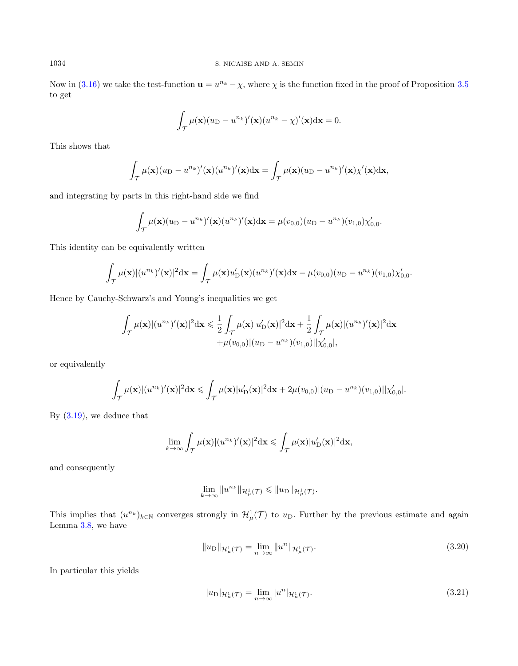Now in [\(3.16\)](#page-10-1) we take the test-function  $\mathbf{u} = u^{n_k} - \chi$ , where  $\chi$  is the function fixed in the proof of Proposition [3.5](#page-8-2) to get

$$
\int_{\mathcal{T}} \mu(\mathbf{x}) (u_{\mathrm{D}} - u^{n_k})'(\mathbf{x}) (u^{n_k} - \chi)'(\mathbf{x}) d\mathbf{x} = 0.
$$

This shows that

$$
\int_{\mathcal{T}} \mu(\mathbf{x})(u_{\mathrm{D}} - u^{n_k})'(\mathbf{x})(u^{n_k})'(\mathbf{x}) d\mathbf{x} = \int_{\mathcal{T}} \mu(\mathbf{x})(u_{\mathrm{D}} - u^{n_k})'(\mathbf{x}) \chi'(\mathbf{x}) d\mathbf{x},
$$

and integrating by parts in this right-hand side we find

$$
\int_{\mathcal{T}} \mu(\mathbf{x}) (u_D - u^{n_k})'(\mathbf{x}) (u^{n_k})'(\mathbf{x}) d\mathbf{x} = \mu(v_{0,0}) (u_D - u^{n_k}) (v_{1,0}) \chi'_{0,0}.
$$

This identity can be equivalently written

$$
\int_{\mathcal{T}} \mu(\mathbf{x}) |(u^{n_k})'(\mathbf{x})|^2 d\mathbf{x} = \int_{\mathcal{T}} \mu(\mathbf{x}) u'_{\mathcal{D}}(\mathbf{x}) (u^{n_k})'(\mathbf{x}) d\mathbf{x} - \mu(v_{0,0}) (u_{\mathcal{D}} - u^{n_k}) (v_{1,0}) \chi'_{0,0}.
$$

Hence by Cauchy-Schwarz's and Young's inequalities we get

$$
\int_{\mathcal{T}} \mu(\mathbf{x}) |(u^{n_k})'(\mathbf{x})|^2 \mathrm{d}\mathbf{x} \leq \frac{1}{2} \int_{\mathcal{T}} \mu(\mathbf{x}) |u'_{\mathcal{D}}(\mathbf{x})|^2 \mathrm{d}\mathbf{x} + \frac{1}{2} \int_{\mathcal{T}} \mu(\mathbf{x}) |(u^{n_k})'(\mathbf{x})|^2 \mathrm{d}\mathbf{x} \n+ \mu(v_{0,0}) |(u_{\mathcal{D}} - u^{n_k})(v_{1,0})| | \chi'_{0,0}|,
$$

or equivalently

$$
\int_{\mathcal{T}} \mu(\mathbf{x}) |(u^{n_k})'(\mathbf{x})|^2 d\mathbf{x} \leq \int_{\mathcal{T}} \mu(\mathbf{x}) |u'_{\mathcal{D}}(\mathbf{x})|^2 d\mathbf{x} + 2\mu(v_{0,0}) |(u_{\mathcal{D}} - u^{n_k})(v_{1,0})||\chi'_{0,0}|.
$$

By [\(3.19\)](#page-10-3), we deduce that

$$
\lim_{k\to\infty}\int_{\mathcal{T}}\mu(\mathbf{x})|(u^{n_k})'(\mathbf{x})|^2\mathrm{d}\mathbf{x}\leqslant\int_{\mathcal{T}}\mu(\mathbf{x})|u'_{\mathrm{D}}(\mathbf{x})|^2\mathrm{d}\mathbf{x},
$$

and consequently

$$
\lim_{k \to \infty} \|u^{n_k}\|_{\mathcal{H}^1_\mu(\mathcal{T})} \leq \|u_D\|_{\mathcal{H}^1_\mu(\mathcal{T})}.
$$

This implies that  $(u^{n_k})_{k\in\mathbb{N}}$  converges strongly in  $\mathcal{H}^1_\mu(\mathcal{T})$  to  $u_D$ . Further by the previous estimate and again Lemma [3.8,](#page-9-3) we have

$$
||u_{\mathcal{D}}||_{\mathcal{H}^{1}_{\mu}(\mathcal{T})} = \lim_{n \to \infty} ||u^{n}||_{\mathcal{H}^{1}_{\mu}(\mathcal{T})}.
$$
\n(3.20)

In particular this yields

<span id="page-11-0"></span>
$$
|u_{\mathcal{D}}|_{\mathcal{H}^{1}_{\mu}(\mathcal{T})} = \lim_{n \to \infty} |u^{n}|_{\mathcal{H}^{1}_{\mu}(\mathcal{T})}. \tag{3.21}
$$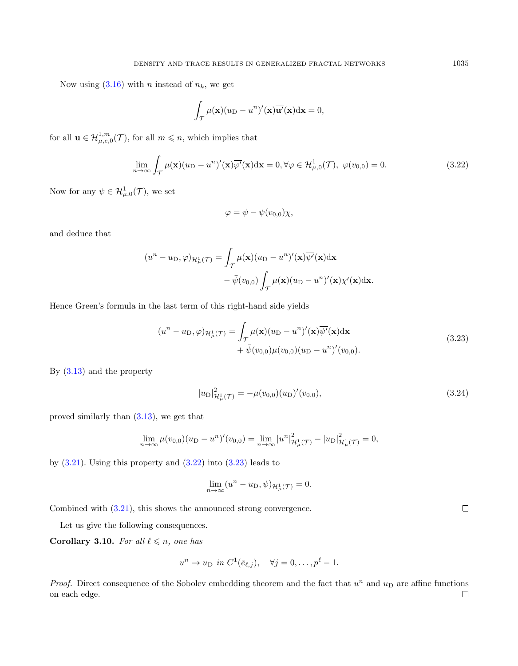Now using  $(3.16)$  with *n* instead of  $n_k$ , we get

$$
\int_{\mathcal{T}} \mu(\mathbf{x})(u_{\mathrm{D}} - u^{n})'(\mathbf{x}) \overline{\mathbf{u}'}(\mathbf{x}) d\mathbf{x} = 0,
$$

for all  $\mathbf{u} \in \mathcal{H}_{\mu,c,0}^{1,m}(\mathcal{T})$ , for all  $m \leq n$ , which implies that

<span id="page-12-0"></span>
$$
\lim_{n \to \infty} \int_{\mathcal{T}} \mu(\mathbf{x}) (u_{\mathcal{D}} - u^n)'(\mathbf{x}) \overline{\varphi'}(\mathbf{x}) d\mathbf{x} = 0, \forall \varphi \in \mathcal{H}^1_{\mu,0}(\mathcal{T}), \ \varphi(v_{0,0}) = 0. \tag{3.22}
$$

Now for any  $\psi \in \mathcal{H}_{\mu,0}^1(\mathcal{T})$ , we set

$$
\varphi = \psi - \psi(v_{0,0})\chi,
$$

and deduce that

$$
(un - uD, \varphi)_{\mathcal{H}^1_\mu(\mathcal{T})} = \int_{\mathcal{T}} \mu(\mathbf{x})(u_D - u^n)'(\mathbf{x}) \overline{\psi'}(\mathbf{x}) d\mathbf{x}
$$

$$
- \overline{\psi}(v_{0,0}) \int_{\mathcal{T}} \mu(\mathbf{x})(u_D - u^n)'(\mathbf{x}) \overline{\chi'}(\mathbf{x}) d\mathbf{x}.
$$

Hence Green's formula in the last term of this right-hand side yields

<span id="page-12-1"></span>
$$
(un - uD, \varphi)_{\mathcal{H}^1_\mu(\mathcal{T})} = \int_{\mathcal{T}} \mu(\mathbf{x}) (u_D - u^n)'(\mathbf{x}) \overline{\psi'}(\mathbf{x}) d\mathbf{x}
$$
  
 
$$
+ \bar{\psi}(v_{0,0}) \mu(v_{0,0}) (u_D - u^n)'(v_{0,0}).
$$
 (3.23)

By [\(3.13\)](#page-9-2) and the property

<span id="page-12-3"></span>
$$
|u_{\mathcal{D}}|_{\mathcal{H}^{1}_{\mu}(\mathcal{T})}^{2} = -\mu(v_{0,0})(u_{\mathcal{D}})'(v_{0,0}),
$$
\n(3.24)

proved similarly than [\(3.13\)](#page-9-2), we get that

$$
\lim_{n \to \infty} \mu(v_{0,0})(u_{\mathcal{D}} - u^n)'(v_{0,0}) = \lim_{n \to \infty} |u^n|^2_{\mathcal{H}^1_{\mu}(\mathcal{T})} - |u_{\mathcal{D}}|^2_{\mathcal{H}^1_{\mu}(\mathcal{T})} = 0,
$$

by  $(3.21)$ . Using this property and  $(3.22)$  into  $(3.23)$  leads to

$$
\lim_{n \to \infty} (u^n - u_D, \psi)_{\mathcal{H}^1_\mu(\mathcal{T})} = 0.
$$

Combined with [\(3.21\)](#page-11-0), this shows the announced strong convergence.

Let us give the following consequences.

<span id="page-12-2"></span>Corollary 3.10. For all  $\ell \leq n$ , one has

$$
u^n \to u_D \text{ in } C^1(\bar{e}_{\ell,j}), \quad \forall j = 0, \dots, p^{\ell} - 1.
$$

*Proof.* Direct consequence of the Sobolev embedding theorem and the fact that  $u^n$  and  $u_D$  are affine functions on each edge. $\Box$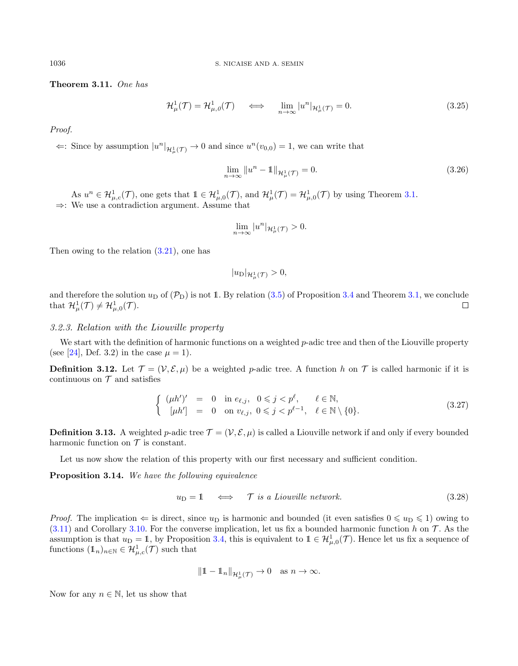<span id="page-13-0"></span>Theorem 3.11. One has

$$
\mathcal{H}^1_{\mu}(\mathcal{T}) = \mathcal{H}^1_{\mu,0}(\mathcal{T}) \quad \iff \quad \lim_{n \to \infty} |u^n| \mathcal{H}^1_{\mu}(\mathcal{T}) = 0. \tag{3.25}
$$

Proof.

 $\Leftarrow$ : Since by assumption  $|u^n|_{\mathcal{H}^1_{\mu}(\mathcal{T})}$  → 0 and since  $u^n(v_{0,0}) = 1$ , we can write that

$$
\lim_{n \to \infty} \|u^n - 1\|_{\mathcal{H}^1_{\mu}(\mathcal{T})} = 0.
$$
\n(3.26)

As  $u^n \in \mathcal{H}_{\mu,c}^1(\mathcal{T})$ , one gets that  $1 \in \mathcal{H}_{\mu,0}^1(\mathcal{T})$ , and  $\mathcal{H}_{\mu}^1(\mathcal{T}) = \mathcal{H}_{\mu,0}^1(\mathcal{T})$  by using Theorem [3.1.](#page-6-4) ⇒: We use a contradiction argument. Assume that

$$
\lim_{n\to\infty}|u^n|_{\mathcal{H}^1_\mu(\mathcal{T})}>0.
$$

Then owing to the relation [\(3.21\)](#page-11-0), one has

 $|u_{\text{D}}|_{\mathcal{H}^{1}_{\mu}(\mathcal{T})}>0,$ 

and therefore the solution  $u_D$  of  $(\mathcal{P}_D)$  is not 1. By relation [\(3.5\)](#page-8-3) of Proposition [3.4](#page-8-4) and Theorem [3.1,](#page-6-4) we conclude that  $\mathcal{H}^1_\mu(\mathcal{T}) \neq \mathcal{H}^1_{\mu,0}(\mathcal{T})$ .  $\Box$ 

#### 3.2.3. Relation with the Liouville property

We start with the definition of harmonic functions on a weighted p-adic tree and then of the Liouville property (see [\[24\]](#page-26-2), Def. 3.2) in the case  $\mu = 1$ ).

**Definition 3.12.** Let  $\mathcal{T} = (\mathcal{V}, \mathcal{E}, \mu)$  be a weighted p-adic tree. A function h on  $\mathcal{T}$  is called harmonic if it is continuous on  $\mathcal T$  and satisfies

$$
\begin{cases}\n(\mu h')' = 0 & \text{in } e_{\ell,j}, \quad 0 \leq j < p^{\ell}, \quad \ell \in \mathbb{N}, \\
[\mu h'] = 0 & \text{on } v_{\ell,j}, \quad 0 \leq j < p^{\ell-1}, \quad \ell \in \mathbb{N} \setminus \{0\}.\n\end{cases} \tag{3.27}
$$

**Definition 3.13.** A weighted p-adic tree  $\mathcal{T} = (\mathcal{V}, \mathcal{E}, \mu)$  is called a Liouville network if and only if every bounded harmonic function on  $\mathcal T$  is constant.

Let us now show the relation of this property with our first necessary and sufficient condition.

Proposition 3.14. We have the following equivalence

$$
u_{\rm D} = 1 \quad \iff \quad \mathcal{T} \text{ is a Liouville network.} \tag{3.28}
$$

*Proof.* The implication  $\Leftarrow$  is direct, since  $u_D$  is harmonic and bounded (it even satisfies  $0 \leq u_D \leq 1$ ) owing to  $(3.11)$  and Corollary [3.10.](#page-12-2) For the converse implication, let us fix a bounded harmonic function h on T. As the assumption is that  $u_D = 1$ , by Proposition [3.4,](#page-8-4) this is equivalent to  $1 \in \mathcal{H}_{\mu,0}^1(\mathcal{T})$ . Hence let us fix a sequence of functions  $(1_n)_{n \in \mathbb{N}} \in \mathcal{H}_{\mu,c}^1(\mathcal{T})$  such that

$$
\|1 - 1_n\|_{\mathcal{H}^1_\mu(\mathcal{T})} \to 0 \quad \text{as } n \to \infty.
$$

Now for any  $n \in \mathbb{N}$ , let us show that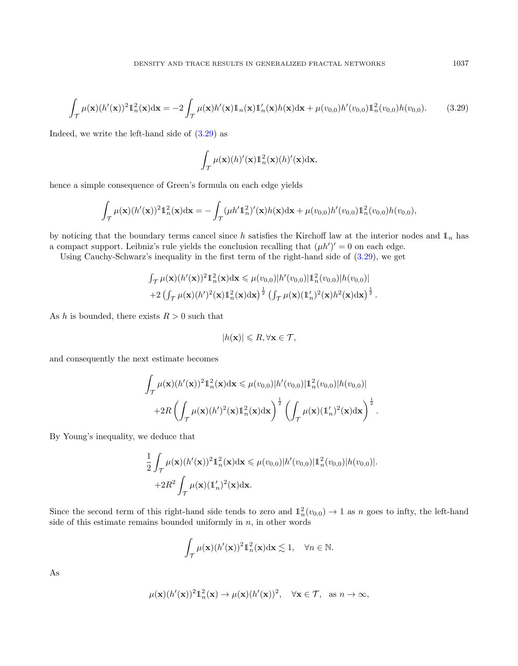$$
\int_{\mathcal{T}} \mu(\mathbf{x})(h'(\mathbf{x}))^2 \mathbb{1}_n^2(\mathbf{x}) d\mathbf{x} = -2 \int_{\mathcal{T}} \mu(\mathbf{x}) h'(\mathbf{x}) \mathbb{1}_n(\mathbf{x}) \mathbb{1}_n'(\mathbf{x}) h(\mathbf{x}) d\mathbf{x} + \mu(v_{0,0}) h'(v_{0,0}) \mathbb{1}_n^2(v_{0,0}) h(v_{0,0}).
$$
 (3.29)

Indeed, we write the left-hand side of [\(3.29\)](#page-14-0) as

$$
\int_{\mathcal{T}} \mu(\mathbf{x})(h)'(\mathbf{x}) \mathbb{1}_n^2(\mathbf{x})(h)'(\mathbf{x}) \mathrm{d}\mathbf{x},
$$

hence a simple consequence of Green's formula on each edge yields

$$
\int_{\mathcal{T}} \mu(\mathbf{x}) (h'(\mathbf{x}))^2 \mathbb{1}_n^2(\mathbf{x}) \mathrm{d}\mathbf{x} = -\int_{\mathcal{T}} (\mu h' \mathbb{1}_n^2)'(\mathbf{x}) h(\mathbf{x}) \mathrm{d}\mathbf{x} + \mu(v_{0,0}) h'(v_{0,0}) \mathbb{1}_n^2(v_{0,0}) h(v_{0,0}),
$$

by noticing that the boundary terms cancel since h satisfies the Kirchoff law at the interior nodes and  $\mathbb{1}_n$  has a compact support. Leibniz's rule yields the conclusion recalling that  $(\mu h')' = 0$  on each edge.

Using Cauchy-Schwarz's inequality in the first term of the right-hand side of [\(3.29\)](#page-14-0), we get

$$
\int_{\mathcal{T}} \mu(\mathbf{x}) (h'(\mathbf{x}))^2 \mathbb{1}_n^2(\mathbf{x}) d\mathbf{x} \leq \mu(v_{0,0}) |h'(v_{0,0})| \mathbb{1}_n^2(v_{0,0}) |h(v_{0,0})|
$$
  
+2  $\left( \int_{\mathcal{T}} \mu(\mathbf{x}) (h')^2(\mathbf{x}) \mathbb{1}_n^2(\mathbf{x}) d\mathbf{x} \right)^{\frac{1}{2}} \left( \int_{\mathcal{T}} \mu(\mathbf{x}) (\mathbb{1}_n')^2(\mathbf{x}) h^2(\mathbf{x}) d\mathbf{x} \right)^{\frac{1}{2}}.$ 

As h is bounded, there exists  $R > 0$  such that

$$
|h(\mathbf{x})| \leq R, \forall \mathbf{x} \in \mathcal{T},
$$

and consequently the next estimate becomes

$$
\int_{\mathcal{T}} \mu(\mathbf{x}) (h'(\mathbf{x}))^2 \mathbb{1}_n^2(\mathbf{x}) d\mathbf{x} \leq \mu(v_{0,0}) |h'(v_{0,0})| \mathbb{1}_n^2(v_{0,0}) |h(v_{0,0})|
$$

$$
+ 2R \left( \int_{\mathcal{T}} \mu(\mathbf{x}) (h')^2(\mathbf{x}) \mathbb{1}_n^2(\mathbf{x}) d\mathbf{x} \right)^{\frac{1}{2}} \left( \int_{\mathcal{T}} \mu(\mathbf{x}) (\mathbb{1}_n')^2(\mathbf{x}) d\mathbf{x} \right)^{\frac{1}{2}}.
$$

By Young's inequality, we deduce that

$$
\frac{1}{2} \int_{\mathcal{T}} \mu(\mathbf{x}) (h'(\mathbf{x}))^2 \mathbf{1}_n^2(\mathbf{x}) d\mathbf{x} \le \mu(v_{0,0}) |h'(v_{0,0})| \mathbf{1}_n^2(v_{0,0}) |h(v_{0,0})|.
$$
  
+2R<sup>2</sup>  $\int_{\mathcal{T}} \mu(\mathbf{x}) (\mathbf{1}_n')^2(\mathbf{x}) d\mathbf{x}.$ 

Since the second term of this right-hand side tends to zero and  $1_n^2(v_{0,0}) \to 1$  as n goes to infty, the left-hand side of this estimate remains bounded uniformly in  $n$ , in other words

$$
\int_{\mathcal{T}} \mu(\mathbf{x}) (h'(\mathbf{x}))^2 \mathbb{1}_n^2(\mathbf{x}) \mathrm{d}\mathbf{x} \lesssim 1, \quad \forall n \in \mathbb{N}.
$$

As

$$
\mu(\mathbf{x})(h'(\mathbf{x}))^2 \mathbb{1}_n^2(\mathbf{x}) \to \mu(\mathbf{x})(h'(\mathbf{x}))^2, \quad \forall \mathbf{x} \in \mathcal{T}, \text{ as } n \to \infty,
$$

<span id="page-14-0"></span>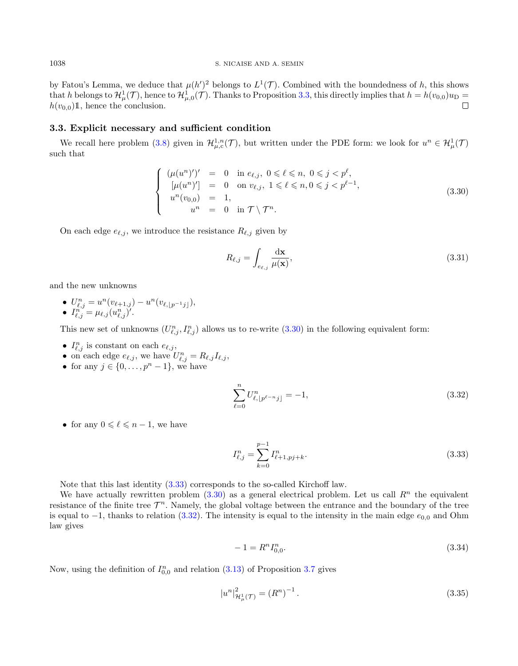by Fatou's Lemma, we deduce that  $\mu(h')^2$  belongs to  $L^1(\mathcal{T})$ . Combined with the boundedness of h, this shows that h belongs to  $\mathcal{H}^1_\mu(\mathcal{T})$ , hence to  $\mathcal{H}^1_{\mu,0}(\mathcal{T})$ . Thanks to Proposition [3.3,](#page-8-5) this directly implies that  $h = h(v_{0,0})u_D =$  $h(v_{0,0})\mathbb{1}$ , hence the conclusion.

#### 3.3. Explicit necessary and sufficient condition

We recall here problem [\(3.8\)](#page-8-0) given in  $\mathcal{H}_{\mu,c}^{1,n}(\mathcal{T})$ , but written under the PDE form: we look for  $u^n \in \mathcal{H}_{\mu}^1(\mathcal{T})$ such that

<span id="page-15-0"></span>
$$
\begin{cases}\n(\mu(u^n)')' = 0 & \text{in } e_{\ell,j}, \ 0 \leq \ell \leq n, \ 0 \leq j < p^{\ell}, \\
[\mu(u^n)'] = 0 & \text{on } v_{\ell,j}, \ 1 \leq \ell \leq n, 0 \leq j < p^{\ell-1}, \\
u^n(v_{0,0}) = 1, & \\
u^n = 0 & \text{in } \mathcal{T} \setminus \mathcal{T}^n.\n\end{cases} \tag{3.30}
$$

On each edge  $e_{\ell,j}$ , we introduce the resistance  $R_{\ell,j}$  given by

$$
R_{\ell,j} = \int_{e_{\ell,j}} \frac{\mathrm{d}\mathbf{x}}{\mu(\mathbf{x})},\tag{3.31}
$$

and the new unknowns

•  $U_{\ell,j}^n = u^n(v_{\ell+1,j}) - u^n(v_{\ell, \lfloor p^{-1}j \rfloor}),$  $\bullet$   $I^{n'}_{\ell,j} = \mu_{\ell,j} (u^n_{\ell,j})'.$ 

This new set of unknowns  $(U_{\ell,j}^n, I_{\ell,j}^n)$  allows us to re-write  $(3.30)$  in the following equivalent form:

- $I_{\ell,j}^n$  is constant on each  $e_{\ell,j}$ ,
- on each edge  $e_{\ell,j}$ , we have  $U_{\ell,j}^n = R_{\ell,j} I_{\ell,j}$ ,
- for any  $j \in \{0, \ldots, p^{n} 1\}$ , we have

<span id="page-15-2"></span>
$$
\sum_{\ell=0}^{n} U_{\ell, \lfloor p^{\ell-n} j \rfloor}^{n} = -1, \tag{3.32}
$$

• for any  $0 \leq \ell \leq n - 1$ , we have

<span id="page-15-1"></span>
$$
I_{\ell,j}^n = \sum_{k=0}^{p-1} I_{\ell+1,pj+k}^n.
$$
\n(3.33)

Note that this last identity [\(3.33\)](#page-15-1) corresponds to the so-called Kirchoff law.

We have actually rewritten problem  $(3.30)$  as a general electrical problem. Let us call  $\mathbb{R}^n$  the equivalent resistance of the finite tree  $\mathcal{T}^n$ . Namely, the global voltage between the entrance and the boundary of the tree is equal to  $-1$ , thanks to relation [\(3.32\)](#page-15-2). The intensity is equal to the intensity in the main edge  $e_{0,0}$  and Ohm law gives

$$
-1 = R^n I_{0,0}^n. \tag{3.34}
$$

Now, using the definition of  $I_{0,0}^n$  and relation  $(3.13)$  of Proposition [3.7](#page-9-5) gives

$$
|u^n|_{\mathcal{H}_\mu^1(\mathcal{T})}^2 = (R^n)^{-1} \,. \tag{3.35}
$$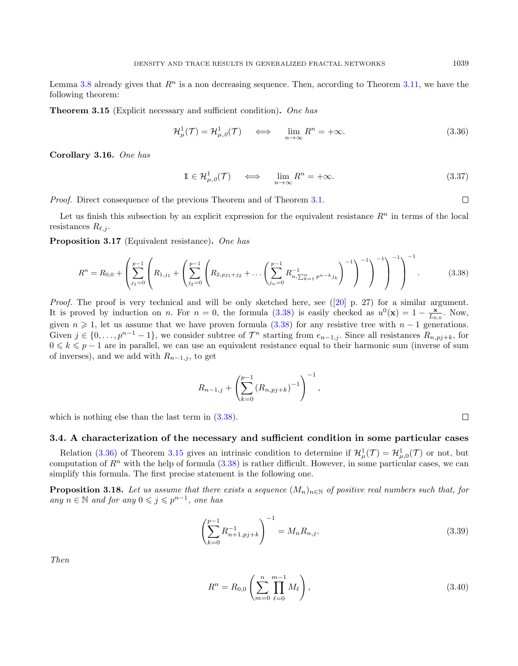Lemma [3.8](#page-9-3) already gives that  $R^n$  is a non decreasing sequence. Then, according to Theorem [3.11,](#page-13-0) we have the following theorem:

<span id="page-16-2"></span>**Theorem 3.15** (Explicit necessary and sufficient condition). One has

<span id="page-16-1"></span>
$$
\mathcal{H}^1_{\mu}(\mathcal{T}) = \mathcal{H}^1_{\mu,0}(\mathcal{T}) \quad \iff \quad \lim_{n \to \infty} R^n = +\infty. \tag{3.36}
$$

<span id="page-16-6"></span>Corollary 3.16. One has

$$
\mathbb{1} \in \mathcal{H}^1_{\mu,\theta}(\mathcal{T}) \quad \Longleftrightarrow \quad \lim_{n \to \infty} R^n = +\infty. \tag{3.37}
$$

Proof. Direct consequence of the previous Theorem and of Theorem [3.1.](#page-6-4)

Let us finish this subsection by an explicit expression for the equivalent resistance  $R<sup>n</sup>$  in terms of the local resistances  $R_{\ell,j}$ .

Proposition 3.17 (Equivalent resistance). One has

<span id="page-16-0"></span>
$$
R^{n} = R_{0,0} + \left(\sum_{j_1=0}^{p-1} \left(R_{1,j_1} + \left(\sum_{j_2=0}^{p-1} \left(R_{2,pj_1+j_2} + \ldots + \sum_{j_n=0}^{p-1} R_{n,\sum_{k=1}^n p^{n-k} j_k}^{-1}\right)^{-1}\right)^{-1}\right)^{-1}\right)^{-1}.
$$
 (3.38)

Proof. The proof is very technical and will be only sketched here, see ([\[20\]](#page-25-10) p. 27) for a similar argument. It is proved by induction on n. For  $n = 0$ , the formula [\(3.38\)](#page-16-0) is easily checked as  $u^0(\mathbf{x}) = 1 - \frac{\mathbf{x}}{L_{0,0}}$ . Now, given  $n \geq 1$ , let us assume that we have proven formula [\(3.38\)](#page-16-0) for any resistive tree with  $n-1$  generations. Given  $j \in \{0, \ldots, p^{n-1}-1\}$ , we consider subtree of  $\mathcal{T}^n$  starting from  $e_{n-1,j}$ . Since all resistances  $R_{n,pj+k}$ , for  $0 \leq k \leq p-1$  are in parallel, we can use an equivalent resistance equal to their harmonic sum (inverse of sum of inverses), and we add with  $R_{n-1,j}$ , to get

$$
R_{n-1,j} + \left(\sum_{k=0}^{p-1} (R_{n,pj+k})^{-1}\right)^{-1},
$$

which is nothing else than the last term in  $(3.38)$ .

#### 3.4. A characterization of the necessary and sufficient condition in some particular cases

Relation [\(3.36\)](#page-16-1) of Theorem [3.15](#page-16-2) gives an intrinsic condition to determine if  $\mathcal{H}^1_\mu(\mathcal{T}) = \mathcal{H}^1_{\mu,0}(\mathcal{T})$  or not, but computation of  $R^n$  with the help of formula [\(3.38\)](#page-16-0) is rather difficult. However, in some particular cases, we can simplify this formula. The first precise statement is the following one.

<span id="page-16-5"></span>**Proposition 3.18.** Let us assume that there exists a sequence  $(M_n)_{n\in\mathbb{N}}$  of positive real numbers such that, for any  $n \in \mathbb{N}$  and for any  $0 \leqslant j \leqslant p^{n-1}$ , one has

<span id="page-16-3"></span>
$$
\left(\sum_{k=0}^{p-1} R_{n+1,pj+k}^{-1}\right)^{-1} = M_n R_{n,j}.
$$
\n(3.39)

Then

<span id="page-16-4"></span>
$$
R^{n} = R_{0,0} \left( \sum_{m=0}^{n} \prod_{\ell=0}^{m-1} M_{\ell} \right),
$$
\n(3.40)

 $\Box$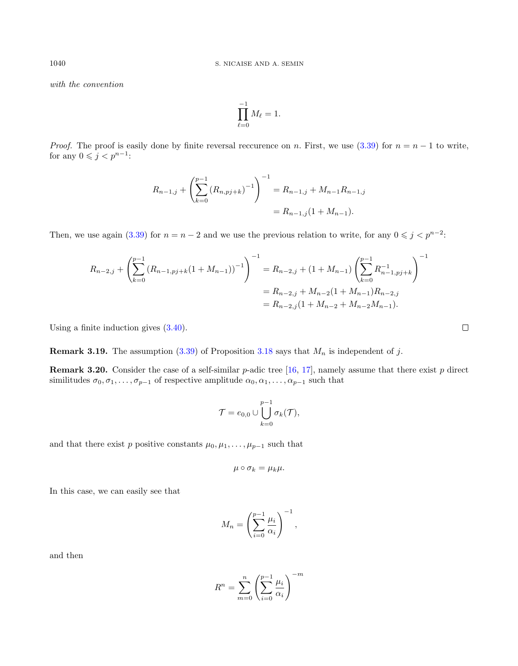with the convention

$$
\prod_{\ell=0}^{-1} M_\ell = 1.
$$

*Proof.* The proof is easily done by finite reversal reccurence on n. First, we use [\(3.39\)](#page-16-3) for  $n = n - 1$  to write, for any  $0 \leqslant j < p^{n-1}$ :

$$
R_{n-1,j} + \left(\sum_{k=0}^{p-1} (R_{n,pj+k})^{-1}\right)^{-1} = R_{n-1,j} + M_{n-1}R_{n-1,j}
$$

$$
= R_{n-1,j}(1 + M_{n-1}).
$$

Then, we use again [\(3.39\)](#page-16-3) for  $n = n - 2$  and we use the previous relation to write, for any  $0 \leq j \leq p^{n-2}$ .

$$
R_{n-2,j} + \left(\sum_{k=0}^{p-1} (R_{n-1,pj+k}(1+M_{n-1}))^{-1}\right)^{-1} = R_{n-2,j} + (1+M_{n-1}) \left(\sum_{k=0}^{p-1} R_{n-1,pj+k}^{-1}\right)^{-1}
$$
  
=  $R_{n-2,j} + M_{n-2}(1+M_{n-1})R_{n-2,j}$   
=  $R_{n-2,j}(1+M_{n-2}+M_{n-2}M_{n-1}).$ 

Using a finite induction gives [\(3.40\)](#page-16-4).

**Remark 3.19.** The assumption  $(3.39)$  of Proposition [3.18](#page-16-5) says that  $M_n$  is independent of j.

**Remark 3.20.** Consider the case of a self-similar p-adic tree [\[16,](#page-25-17) [17\]](#page-25-16), namely assume that there exist p direct similitudes  $\sigma_0, \sigma_1, \ldots, \sigma_{p-1}$  of respective amplitude  $\alpha_0, \alpha_1, \ldots, \alpha_{p-1}$  such that

$$
\mathcal{T} = e_{0,0} \cup \bigcup_{k=0}^{p-1} \sigma_k(\mathcal{T}),
$$

and that there exist p positive constants  $\mu_0, \mu_1, \ldots, \mu_{p-1}$  such that

$$
\mu\circ\sigma_k=\mu_k\mu.
$$

In this case, we can easily see that

$$
M_n = \left(\sum_{i=0}^{p-1} \frac{\mu_i}{\alpha_i}\right)^{-1},
$$

and then

$$
R^{n} = \sum_{m=0}^{n} \left( \sum_{i=0}^{p-1} \frac{\mu_{i}}{\alpha_{i}} \right)^{-m}
$$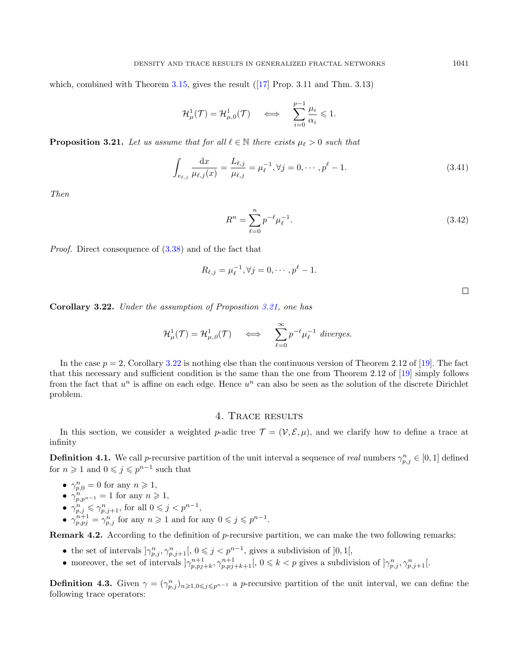which, combined with Theorem [3.15,](#page-16-2) gives the result  $(17)$  Prop. 3.11 and Thm. 3.13)

$$
\mathcal{H}^1_\mu(\mathcal{T}) = \mathcal{H}^1_{\mu,0}(\mathcal{T}) \quad \iff \quad \sum_{i=0}^{p-1} \frac{\mu_i}{\alpha_i} \leq 1.
$$

<span id="page-18-1"></span>**Proposition 3.21.** Let us assume that for all  $\ell \in \mathbb{N}$  there exists  $\mu_{\ell} > 0$  such that

$$
\int_{e_{\ell,j}} \frac{\mathrm{d}x}{\mu_{\ell,j}(x)} = \frac{L_{\ell,j}}{\mu_{\ell,j}} = \mu_{\ell}^{-1}, \forall j = 0, \cdots, p^{\ell} - 1.
$$
\n(3.41)

Then

$$
R^n = \sum_{\ell=0}^n p^{-\ell} \mu_{\ell}^{-1}.
$$
\n(3.42)

Proof. Direct consequence of [\(3.38\)](#page-16-0) and of the fact that

$$
R_{\ell,j} = \mu_{\ell}^{-1}, \forall j = 0, \cdots, p^{\ell} - 1.
$$

<span id="page-18-2"></span>Corollary 3.22. Under the assumption of Proposition [3.21,](#page-18-1) one has

$$
\mathcal{H}^1_\mu(\mathcal{T}) = \mathcal{H}^1_{\mu,\theta}(\mathcal{T}) \quad \iff \quad \sum_{\ell=0}^\infty p^{-\ell} \mu_\ell^{-1} \ \text{diverges.}
$$

In the case  $p = 2$ , Corollary [3.22](#page-18-2) is nothing else than the continuous version of Theorem 2.12 of [\[19\]](#page-25-5). The fact that this necessary and sufficient condition is the same than the one from Theorem 2.12 of [\[19\]](#page-25-5) simply follows from the fact that  $u^n$  is affine on each edge. Hence  $u^n$  can also be seen as the solution of the discrete Dirichlet problem.

## 4. Trace results

<span id="page-18-0"></span>In this section, we consider a weighted p-adic tree  $\mathcal{T} = (\mathcal{V}, \mathcal{E}, \mu)$ , and we clarify how to define a trace at infinity

<span id="page-18-3"></span>**Definition 4.1.** We call *p*-recursive partition of the unit interval a sequence of real numbers  $\gamma_{p,j}^n \in [0,1]$  defined for  $n \geq 1$  and  $0 \leq j \leq p^{n-1}$  such that

- $\gamma_{p,0}^n = 0$  for any  $n \geq 1$ ,
- $\gamma_{p,p^{n-1}}^n = 1$  for any  $n \geq 1$ ,
- $\gamma_{p,j}^n \leq \gamma_{p,j+1}^n$ , for all  $0 \leqslant j < p^{n-1}$ ,
- $\gamma_{p,pj}^{n+1} = \gamma_{p,j}^n$  for any  $n \geq 1$  and for any  $0 \leqslant j \leqslant p^{n-1}$ .

**Remark 4.2.** According to the definition of  $p$ -recursive partition, we can make the two following remarks:

- the set of intervals  $\left[\gamma_{p,j}^n, \gamma_{p,j+1}^n\right], 0 \leqslant j < p^{n-1}$ , gives a subdivision of  $]0,1[,$
- moreover, the set of intervals  $\left|\gamma_{p,pj+k}^{n+1},\gamma_{p,pj+k+1}^{n+1}\right|, 0 \leqslant k < p$  gives a subdivision of  $\left|\gamma_{p,j}^n,\gamma_{p,j+1}^n\right|$ .

**Definition 4.3.** Given  $\gamma = (\gamma_{p,j}^n)_{n \geqslant 1,0 \leqslant j \leqslant p^{n-1}}$  a *p*-recursive partition of the unit interval, we can define the following trace operators: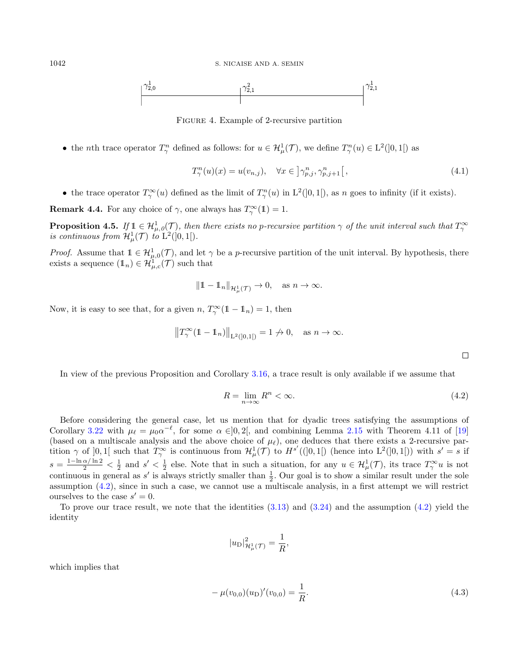

Figure 4. Example of 2-recursive partition

• the *n*th trace operator  $T_{\gamma}^n$  defined as follows: for  $u \in H^1_{\mu}(\mathcal{T})$ , we define  $T_{\gamma}^n(u) \in L^2([0,1])$  as

$$
T_{\gamma}^{n}(u)(x) = u(v_{n,j}), \quad \forall x \in \left] \gamma_{p,j}^{n}, \gamma_{p,j+1}^{n} \right[,
$$
\n(4.1)

• the trace operator  $T_\gamma^{\infty}(u)$  defined as the limit of  $T_\gamma^n(u)$  in  $L^2(]0,1[)$ , as n goes to infinity (if it exists).

**Remark 4.4.** For any choice of  $\gamma$ , one always has  $T_{\gamma}^{\infty}(1) = 1$ .

**Proposition 4.5.** If  $\mathbb{1} \in \mathcal{H}^1_{\mu,0}(\mathcal{T})$ , then there exists no p-recursive partition  $\gamma$  of the unit interval such that  $T^{\infty}_{\gamma}$ is continuous from  $\mathcal{H}^1_\mu(\mathcal{T})$  to  $L^2([0,1])$ .

*Proof.* Assume that  $1 \in H^1_{\mu,0}(\mathcal{T})$ , and let  $\gamma$  be a *p*-recursive partition of the unit interval. By hypothesis, there exists a sequence  $(\mathbb{1}_n) \in \mathcal{H}_{\mu,c}^{T}(\mathcal{T})$  such that

$$
\|1 - 1_n\|_{\mathcal{H}^1_\mu(\mathcal{T})} \to 0, \quad \text{as } n \to \infty.
$$

Now, it is easy to see that, for a given  $n, T^{\infty}_{\gamma}(1 - 1) = 1$ , then

$$
||T^{\infty}_{\gamma}(\mathbb{1}-\mathbb{1}_n)||_{\mathbf{L}^2([0,1[)}=1 \not\to 0, \quad \text{as } n \to \infty.
$$

In view of the previous Proposition and Corollary [3.16,](#page-16-6) a trace result is only available if we assume that

<span id="page-19-0"></span>
$$
R = \lim_{n \to \infty} R^n < \infty. \tag{4.2}
$$

Before considering the general case, let us mention that for dyadic trees satisfying the assumptions of Corollary [3.22](#page-18-2) with  $\mu_{\ell} = \mu_0 \alpha^{-\ell}$ , for some  $\alpha \in ]0, 2[$ , and combining Lemma [2.15](#page-5-2) with Theorem 4.11 of [\[19\]](#page-25-5) (based on a multiscale analysis and the above choice of  $\mu_{\ell}$ ), one deduces that there exists a 2-recursive partition  $\gamma$  of [0, 1] such that  $T_{\gamma}^{\infty}$  is continuous from  $\mathcal{H}^{1}_{\mu}(\mathcal{T})$  to  $H^{s'}([0,1])$  (hence into  $L^{2}(]0,1[)$ ) with  $s'=s$  if  $s = \frac{1-\ln \alpha / \ln 2}{2} < \frac{1}{2}$  and  $s' < \frac{1}{2}$  else. Note that in such a situation, for any  $u \in \mathcal{H}^1_\mu(\mathcal{T})$ , its trace  $T_\gamma^\infty u$  is not continuous in general as  $s'$  is always strictly smaller than  $\frac{1}{2}$ . Our goal is to show a similar result under the sole assumption [\(4.2\)](#page-19-0), since in such a case, we cannot use a multiscale analysis, in a first attempt we will restrict ourselves to the case  $s' = 0$ .

To prove our trace result, we note that the identities  $(3.13)$  and  $(3.24)$  and the assumption  $(4.2)$  yield the identity

$$
|u_{\rm D}|^2_{\mathcal{H}^1_{\mu}(\mathcal{T})} = \frac{1}{R},
$$

which implies that

<span id="page-19-1"></span>
$$
-\mu(v_{0,0})(u_{\text{D}})'(v_{0,0}) = \frac{1}{R}.\tag{4.3}
$$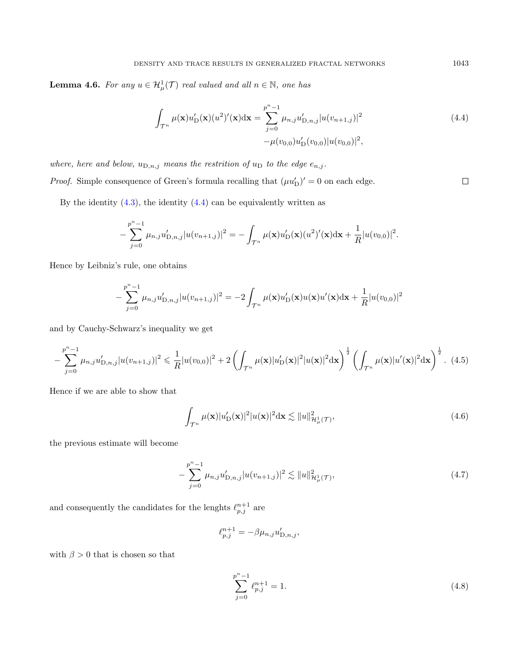**Lemma 4.6.** For any  $u \in \mathcal{H}^1_\mu(\mathcal{T})$  real valued and all  $n \in \mathbb{N}$ , one has

<span id="page-20-0"></span>
$$
\int_{\mathcal{T}^n} \mu(\mathbf{x}) u'_{\mathcal{D}}(\mathbf{x}) (u^2)'(\mathbf{x}) d\mathbf{x} = \sum_{j=0}^{p^n - 1} \mu_{n,j} u'_{\mathcal{D},n,j} |u(v_{n+1,j})|^2
$$
\n
$$
-\mu(v_{0,0}) u'_{\mathcal{D}}(v_{0,0}) |u(v_{0,0})|^2,
$$
\n(4.4)

where, here and below,  $u_{D,n,j}$  means the restrition of  $u_D$  to the edge  $e_{n,j}$ .

*Proof.* Simple consequence of Green's formula recalling that  $(\mu u_D')' = 0$  on each edge.

By the identity  $(4.3)$ , the identity  $(4.4)$  can be equivalently written as

$$
-\sum_{j=0}^{p^{n}-1} \mu_{n,j} u'_{D,n,j} |u(v_{n+1,j})|^2 = -\int_{\mathcal{T}^n} \mu(\mathbf{x}) u'_{D}(\mathbf{x}) (u^2)'(\mathbf{x}) d\mathbf{x} + \frac{1}{R} |u(v_{0,0})|^2.
$$

Hence by Leibniz's rule, one obtains

−

$$
-\sum_{j=0}^{p^{n}-1} \mu_{n,j} u'_{D,n,j} |u(v_{n+1,j})|^{2} = -2 \int_{\mathcal{T}^{n}} \mu(\mathbf{x}) u'_{D}(\mathbf{x}) u'(\mathbf{x}) d\mathbf{x} + \frac{1}{R} |u(v_{0,0})|^{2}
$$

and by Cauchy-Schwarz's inequality we get

$$
-\sum_{j=0}^{p^n-1} \mu_{n,j} u'_{D,n,j} |u(v_{n+1,j})|^2 \leq \frac{1}{R} |u(v_{0,0})|^2 + 2\left(\int_{\mathcal{T}^n} \mu(\mathbf{x}) |u'_{D}(\mathbf{x})|^2 |u(\mathbf{x})|^2 d\mathbf{x}\right)^{\frac{1}{2}} \left(\int_{\mathcal{T}^n} \mu(\mathbf{x}) |u'(\mathbf{x})|^2 d\mathbf{x}\right)^{\frac{1}{2}}.
$$
 (4.5)

Hence if we are able to show that

<span id="page-20-2"></span>
$$
\int_{\mathcal{T}^n} \mu(\mathbf{x}) |u'_{\mathcal{D}}(\mathbf{x})|^2 |u(\mathbf{x})|^2 d\mathbf{x} \lesssim \|u\|_{\mathcal{H}^1_{\mu}(\mathcal{T})}^2,
$$
\n(4.6)

the previous estimate will become

<span id="page-20-3"></span>
$$
-\sum_{j=0}^{p^n-1} \mu_{n,j} u'_{D,n,j} |u(v_{n+1,j})|^2 \lesssim ||u||^2_{\mathcal{H}^1_{\mu}(\mathcal{T})},\tag{4.7}
$$

and consequently the candidates for the lenghts  $\ell_{p,j}^{n+1}$  are

$$
\ell_{p,j}^{n+1} = -\beta \mu_{n,j} u'_{D,n,j},
$$

with  $\beta > 0$  that is chosen so that

<span id="page-20-1"></span>
$$
\sum_{j=0}^{p^n - 1} \ell_{p,j}^{n+1} = 1.
$$
\n(4.8)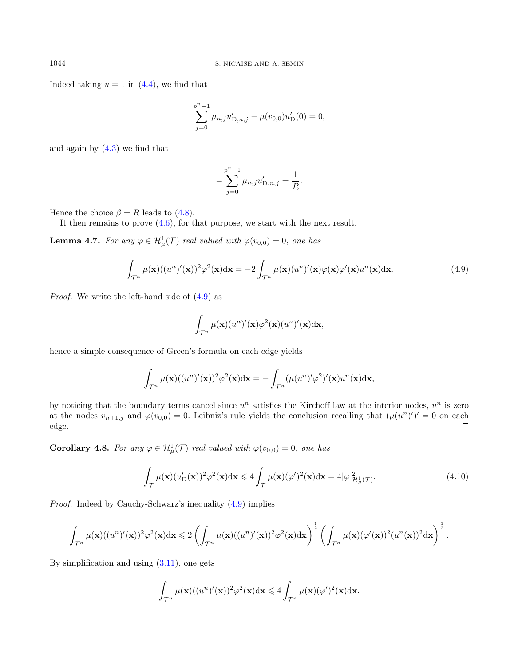Indeed taking  $u = 1$  in  $(4.4)$ , we find that

$$
\sum_{j=0}^{p^{n}-1} \mu_{n,j} u'_{D,n,j} - \mu(v_{0,0}) u'_{D}(0) = 0,
$$

and again by [\(4.3\)](#page-19-1) we find that

$$
-\sum_{j=0}^{p^{n}-1} \mu_{n,j} u'_{D,n,j} = \frac{1}{R}.
$$

Hence the choice  $\beta = R$  leads to [\(4.8\)](#page-20-1).

It then remains to prove  $(4.6)$ , for that purpose, we start with the next result.

**Lemma 4.7.** For any  $\varphi \in \mathcal{H}^1_\mu(\mathcal{T})$  real valued with  $\varphi(v_{0,0}) = 0$ , one has

<span id="page-21-0"></span>
$$
\int_{\mathcal{T}^n} \mu(\mathbf{x})((u^n)'(\mathbf{x}))^2 \varphi^2(\mathbf{x}) d\mathbf{x} = -2 \int_{\mathcal{T}^n} \mu(\mathbf{x}) (u^n)'(\mathbf{x}) \varphi(\mathbf{x}) \varphi'(\mathbf{x}) u^n(\mathbf{x}) d\mathbf{x}.
$$
\n(4.9)

Proof. We write the left-hand side of [\(4.9\)](#page-21-0) as

$$
\int_{\mathcal{T}^n} \mu(\mathbf{x})(u^n)'(\mathbf{x})\varphi^2(\mathbf{x})(u^n)'(\mathbf{x})\mathrm{d}\mathbf{x},
$$

hence a simple consequence of Green's formula on each edge yields

$$
\int_{\mathcal{T}^n} \mu(\mathbf{x})((u^n)'(\mathbf{x}))^2 \varphi^2(\mathbf{x}) \mathrm{d}\mathbf{x} = -\int_{\mathcal{T}^n} (\mu(u^n)'\varphi^2)'(\mathbf{x})u^n(\mathbf{x}) \mathrm{d}\mathbf{x},
$$

by noticing that the boundary terms cancel since  $u^n$  satisfies the Kirchoff law at the interior nodes,  $u^n$  is zero at the nodes  $v_{n+1,j}$  and  $\varphi(v_{0,0}) = 0$ . Leibniz's rule yields the conclusion recalling that  $(\mu(u^n))' = 0$  on each edge.  $\Box$ 

**Corollary 4.8.** For any  $\varphi \in H^1_\mu(\mathcal{T})$  real valued with  $\varphi(v_{0,0}) = 0$ , one has

<span id="page-21-1"></span>
$$
\int_{\mathcal{T}} \mu(\mathbf{x}) (u'_{\mathcal{D}}(\mathbf{x}))^2 \varphi^2(\mathbf{x}) d\mathbf{x} \leqslant 4 \int_{\mathcal{T}} \mu(\mathbf{x}) (\varphi')^2(\mathbf{x}) d\mathbf{x} = 4|\varphi|_{\mathcal{H}^1_{\mu}(\mathcal{T})}^2.
$$
\n(4.10)

Proof. Indeed by Cauchy-Schwarz's inequality [\(4.9\)](#page-21-0) implies

$$
\int_{\mathcal{T}^n} \mu(\mathbf{x})((u^n)'(\mathbf{x}))^2 \varphi^2(\mathbf{x}) \mathrm{d}\mathbf{x} \leqslant 2 \left( \int_{\mathcal{T}^n} \mu(\mathbf{x})((u^n)'(\mathbf{x}))^2 \varphi^2(\mathbf{x}) \mathrm{d}\mathbf{x} \right)^{\frac{1}{2}} \left( \int_{\mathcal{T}^n} \mu(\mathbf{x}) (\varphi'(\mathbf{x}))^2 (u^n(\mathbf{x}))^2 \mathrm{d}\mathbf{x} \right)^{\frac{1}{2}}.
$$

By simplification and using  $(3.11)$ , one gets

$$
\int_{\mathcal{T}^n} \mu(\mathbf{x})((u^n)'(\mathbf{x}))^2 \varphi^2(\mathbf{x}) \mathrm{d}\mathbf{x} \leqslant 4 \int_{\mathcal{T}^n} \mu(\mathbf{x}) (\varphi')^2(\mathbf{x}) \mathrm{d}\mathbf{x}.
$$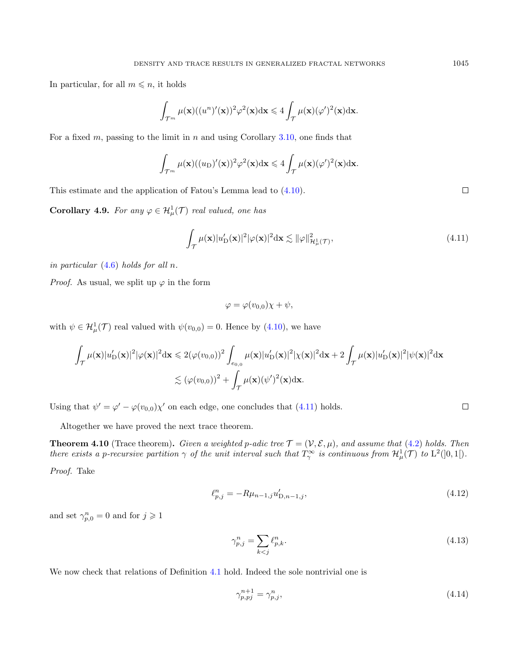In particular, for all  $m \leq n$ , it holds

$$
\int_{\mathcal{T}^m} \mu(\mathbf{x})((u^n)'(\mathbf{x}))^2 \varphi^2(\mathbf{x}) \mathrm{d}\mathbf{x} \leq 4 \int_{\mathcal{T}} \mu(\mathbf{x}) (\varphi')^2(\mathbf{x}) \mathrm{d}\mathbf{x}.
$$

For a fixed m, passing to the limit in n and using Corollary [3.10,](#page-12-2) one finds that

$$
\int_{\mathcal{T}^m} \mu(\mathbf{x})((u_D)'(\mathbf{x}))^2 \varphi^2(\mathbf{x}) \mathrm{d}\mathbf{x} \leq 4 \int_{\mathcal{T}} \mu(\mathbf{x}) (\varphi')^2(\mathbf{x}) \mathrm{d}\mathbf{x}.
$$

This estimate and the application of Fatou's Lemma lead to [\(4.10\)](#page-21-1).

**Corollary 4.9.** For any  $\varphi \in \mathcal{H}^1_\mu(\mathcal{T})$  real valued, one has

<span id="page-22-0"></span>
$$
\int_{\mathcal{T}} \mu(\mathbf{x}) |u'_{\mathcal{D}}(\mathbf{x})|^2 |\varphi(\mathbf{x})|^2 d\mathbf{x} \lesssim ||\varphi||_{\mathcal{H}^1_{\mu}(\mathcal{T})}^2,
$$
\n(4.11)

in particular  $(4.6)$  holds for all n.

*Proof.* As usual, we split up  $\varphi$  in the form

$$
\varphi = \varphi(v_{0,0})\chi + \psi,
$$

with  $\psi \in \mathcal{H}^1_\mu(\mathcal{T})$  real valued with  $\psi(v_{0,0}) = 0$ . Hence by [\(4.10\)](#page-21-1), we have

$$
\int_{\mathcal{T}} \mu(\mathbf{x}) |u'_{\mathcal{D}}(\mathbf{x})|^2 |\varphi(\mathbf{x})|^2 d\mathbf{x} \leq 2(\varphi(v_{0,0}))^2 \int_{e_{0,0}} \mu(\mathbf{x}) |u'_{\mathcal{D}}(\mathbf{x})|^2 |\chi(\mathbf{x})|^2 d\mathbf{x} + 2 \int_{\mathcal{T}} \mu(\mathbf{x}) |u'_{\mathcal{D}}(\mathbf{x})|^2 |\psi(\mathbf{x})|^2 d\mathbf{x} \n\lesssim (\varphi(v_{0,0}))^2 + \int_{\mathcal{T}} \mu(\mathbf{x}) (\psi')^2(\mathbf{x}) d\mathbf{x}.
$$

Using that  $\psi' = \varphi' - \varphi(v_{0,0})\chi'$  on each edge, one concludes that [\(4.11\)](#page-22-0) holds.

Altogether we have proved the next trace theorem.

<span id="page-22-3"></span>**Theorem 4.10** (Trace theorem). Given a weighted p-adic tree  $\mathcal{T} = (\mathcal{V}, \mathcal{E}, \mu)$ , and assume that [\(4.2\)](#page-19-0) holds. Then there exists a p-recursive partition  $\gamma$  of the unit interval such that  $T_{\gamma}^{\infty}$  is continuous from  $\mathcal{H}^1_{\mu}(\mathcal{T})$  to  $L^2([0,1])$ . Proof. Take

<span id="page-22-2"></span>
$$
\ell_{p,j}^n = -R\mu_{n-1,j}u_{D,n-1,j}',\tag{4.12}
$$

and set  $\gamma_{p,0}^n = 0$  and for  $j \geq 1$ 

<span id="page-22-4"></span>
$$
\gamma_{p,j}^n = \sum_{k < j} \ell_{p,k}^n. \tag{4.13}
$$

We now check that relations of Definition [4.1](#page-18-3) hold. Indeed the sole nontrivial one is

<span id="page-22-1"></span>
$$
\gamma_{p,pj}^{n+1} = \gamma_{p,j}^n,\tag{4.14}
$$

 $\Box$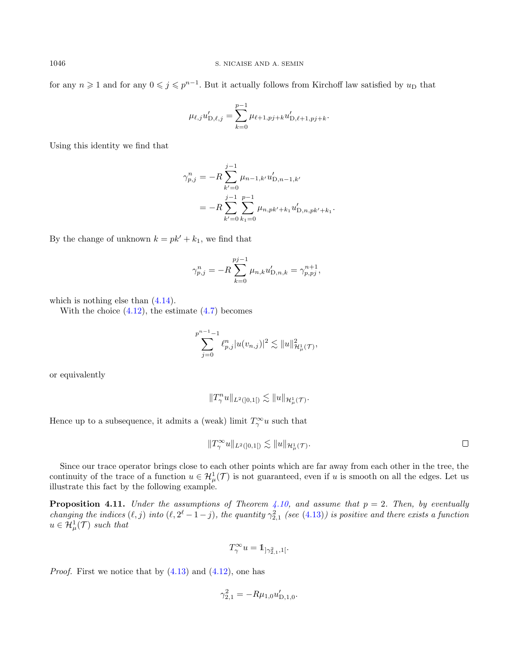for any  $n \geq 1$  and for any  $0 \leq j \leq p^{n-1}$ . But it actually follows from Kirchoff law satisfied by  $u_D$  that

$$
\mu_{\ell,j} u'_{D,\ell,j} = \sum_{k=0}^{p-1} \mu_{\ell+1,pj+k} u'_{D,\ell+1,pj+k}.
$$

Using this identity we find that

$$
\gamma_{p,j}^n = -R \sum_{k'=0}^{j-1} \mu_{n-1,k'} u'_{D,n-1,k'}
$$
  
= 
$$
-R \sum_{k'=0}^{j-1} \sum_{k_1=0}^{p-1} \mu_{n,pk'+k_1} u'_{D,n,pk'+k_1}.
$$

By the change of unknown  $k = pk' + k_1$ , we find that

$$
\gamma_{p,j}^n = -R \sum_{k=0}^{pj-1} \mu_{n,k} u'_{D,n,k} = \gamma_{p,pj}^{n+1},
$$

which is nothing else than  $(4.14)$ .

With the choice  $(4.12)$ , the estimate  $(4.7)$  becomes

$$
\sum_{j=0}^{p^{n-1}-1} \ell_{p,j}^n |u(v_{n,j})|^2 \lesssim ||u||_{\mathcal{H}^1_\mu(\mathcal{T})}^2,
$$

or equivalently

$$
||T_{\gamma}^n u||_{L^2([0,1])} \lesssim ||u||_{\mathcal{H}^1_{\mu}(\mathcal{T})}.
$$

Hence up to a subsequence, it admits a (weak) limit  $T_{\gamma}^{\infty}u$  such that

$$
||T^{\infty}_{\gamma}u||_{L^{2}(]0,1[)} \lesssim ||u||_{\mathcal{H}^{1}_{\mu}(\mathcal{T})}.
$$

Since our trace operator brings close to each other points which are far away from each other in the tree, the continuity of the trace of a function  $u \in H^1_\mu(\mathcal{T})$  is not guaranteed, even if u is smooth on all the edges. Let us illustrate this fact by the following example.

**Proposition 4.11.** Under the assumptions of Theorem [4.10,](#page-22-3) and assume that  $p = 2$ . Then, by eventually changing the indices  $(\ell, j)$  into  $(\ell, 2^{\ell} - 1 - j)$ , the quantity  $\gamma_{2,1}^2$  (see [\(4.13\)](#page-22-4)) is positive and there exists a function  $u \in H^1_\mu(\mathcal{T})$  such that

$$
T_{\gamma}^{\infty}u=1\!\!1_{]\gamma_{2,1}^2,1[}.
$$

*Proof.* First we notice that by  $(4.13)$  and  $(4.12)$ , one has

$$
\gamma_{2,1}^2 = -R\mu_{1,0}u'_{D,1,0}.
$$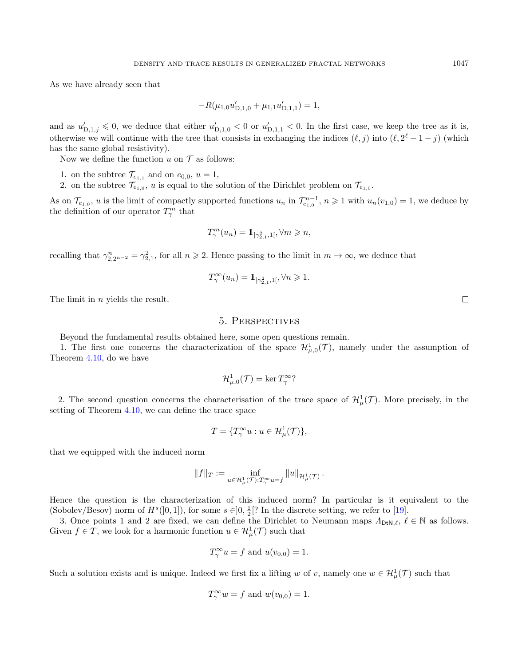As we have already seen that

$$
-R(\mu_{1,0}u'_{D,1,0} + \mu_{1,1}u'_{D,1,1}) = 1,
$$

and as  $u'_{D,1,j} \leq 0$ , we deduce that either  $u'_{D,1,0} < 0$  or  $u'_{D,1,1} < 0$ . In the first case, we keep the tree as it is, otherwise we will continue with the tree that consists in exchanging the indices  $(\ell, j)$  into  $(\ell, 2^{\ell} - 1 - j)$  (which has the same global resistivity).

Now we define the function  $u$  on  $\mathcal T$  as follows:

- 1. on the subtree  $\mathcal{T}_{e_{1,1}}$  and on  $e_{0,0}$ ,  $u=1$ ,
- 2. on the subtree  $\mathcal{T}_{e_{1,0}}$ , u is equal to the solution of the Dirichlet problem on  $\mathcal{T}_{e_{1,0}}$ .

As on  $\mathcal{T}_{e_{1,0}}$ , u is the limit of compactly supported functions  $u_n$  in  $\mathcal{T}_{e_{1,0}}^{n-1}$ ,  $n \geq 1$  with  $u_n(v_{1,0}) = 1$ , we deduce by the definition of our operator  $T_{\gamma}^{m}$  that

$$
T_{\gamma}^{m}(u_{n})=\mathbb{1}_{\left[\gamma_{2,1}^{2},1\right[},\forall m\geqslant n,
$$

recalling that  $\gamma_{2,2^{n-2}}^n = \gamma_{2,1}^2$ , for all  $n \ge 2$ . Hence passing to the limit in  $m \to \infty$ , we deduce that

$$
T_{\gamma}^{\infty}(u_n) = 1_{\left[\gamma_{2,1}^2, 1\right[}, \forall n \geq 1.
$$

The limit in *n* yields the result.

## 5. Perspectives

Beyond the fundamental results obtained here, some open questions remain.

1. The first one concerns the characterization of the space  $\mathcal{H}^1_{\mu,0}(\mathcal{T})$ , namely under the assumption of Theorem [4.10,](#page-22-3) do we have

$$
\mathcal{H}^1_{\mu,0}(\mathcal{T}) = \ker T^\infty_\gamma?
$$

2. The second question concerns the characterisation of the trace space of  $\mathcal{H}^1_\mu(\mathcal{T})$ . More precisely, in the setting of Theorem [4.10,](#page-22-3) we can define the trace space

$$
T = \{T_{\gamma}^{\infty}u : u \in \mathcal{H}^1_{\mu}(\mathcal{T})\},\
$$

that we equipped with the induced norm

$$
||f||_T := \inf_{u \in \mathcal{H}^1_\mu(\mathcal{T}): T^\infty_\gamma} ||u||_{\mathcal{H}^1_\mu(\mathcal{T})}.
$$

Hence the question is the characterization of this induced norm? In particular is it equivalent to the (Sobolev/Besov) norm of  $H^s([0,1])$ , for some  $s \in ]0, \frac{1}{2}[^{?}$  In the discrete setting, we refer to [\[19\]](#page-25-5).

3. Once points 1 and 2 are fixed, we can define the Dirichlet to Neumann maps  $\Lambda_{DtN,\ell}$ ,  $\ell \in \mathbb{N}$  as follows. Given  $f \in T$ , we look for a harmonic function  $u \in \mathcal{H}^1_\mu(\mathcal{T})$  such that

$$
T_{\gamma}^{\infty}u = f \text{ and } u(v_{0,0}) = 1.
$$

Such a solution exists and is unique. Indeed we first fix a lifting w of v, namely one  $w \in H^1_\mu(\mathcal{T})$  such that

$$
T_{\gamma}^{\infty}w = f \text{ and } w(v_{0,0}) = 1.
$$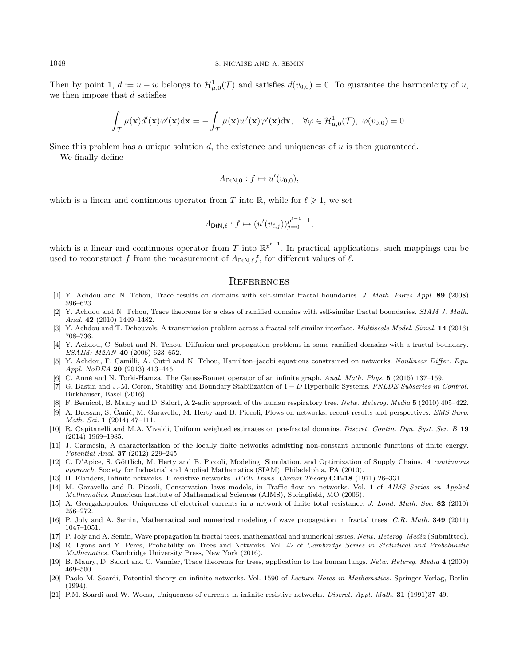Then by point 1,  $d := u - w$  belongs to  $\mathcal{H}_{\mu,0}^1(\mathcal{T})$  and satisfies  $d(v_{0,0}) = 0$ . To guarantee the harmonicity of u, we then impose that  $d$  satisfies

$$
\int_{\mathcal{T}} \mu(\mathbf{x}) d'(\mathbf{x}) \overline{\varphi'(\mathbf{x})} d\mathbf{x} = -\int_{\mathcal{T}} \mu(\mathbf{x}) w'(\mathbf{x}) \overline{\varphi'(\mathbf{x})} d\mathbf{x}, \quad \forall \varphi \in \mathcal{H}_{\mu,0}^1(\mathcal{T}), \ \varphi(v_{0,0}) = 0.
$$

Since this problem has a unique solution d, the existence and uniqueness of  $u$  is then guaranteed.

We finally define

$$
\varLambda_{\mathrm{DtN},0}:f\mapsto u'(v_{0,0}),
$$

which is a linear and continuous operator from T into R, while for  $\ell \geqslant 1$ , we set

$$
\varLambda_{\mathrm{DtN},\ell}:f\mapsto (u'(v_{\ell,j}))_{j=0}^{p^{\ell-1}-1},
$$

which is a linear and continuous operator from T into  $\mathbb{R}^{p^{\ell-1}}$ . In practical applications, such mappings can be used to reconstruct f from the measurement of  $\Lambda_{\text{DtN},\ell}$ , for different values of  $\ell$ .

#### **REFERENCES**

- <span id="page-25-11"></span>[1] Y. Achdou and N. Tchou, Trace results on domains with self-similar fractal boundaries. J. Math. Pures Appl. 89 (2008) 596–623.
- [2] Y. Achdou and N. Tchou, Trace theorems for a class of ramified domains with self-similar fractal boundaries. SIAM J. Math. Anal. 42 (2010) 1449–1482.
- [3] Y. Achdou and T. Deheuvels, A transmission problem across a fractal self-similar interface. Multiscale Model. Simul. 14 (2016) 708–736.
- <span id="page-25-12"></span>[4] Y. Achdou, C. Sabot and N. Tchou, Diffusion and propagation problems in some ramified domains with a fractal boundary. ESAIM: M2AN 40 (2006) 623–652.
- <span id="page-25-14"></span>[5] Y. Achdou, F. Camilli, A. Cutri and N. Tchou, Hamilton–jacobi equations constrained on networks. Nonlinear Differ. Equ. Appl. NoDEA 20 (2013) 413–445.
- <span id="page-25-15"></span>[6] C. Ann´e and N. Torki-Hamza. The Gauss-Bonnet operator of an infinite graph. Anal. Math. Phys. 5 (2015) 137–159.
- <span id="page-25-0"></span>[7] G. Bastin and J.-M. Coron, Stability and Boundary Stabilization of 1 − D Hyperbolic Systems. PNLDE Subseries in Control. Birkhäuser, Basel (2016).
- <span id="page-25-4"></span>[8] F. Bernicot, B. Maury and D. Salort, A 2-adic approach of the human respiratory tree. Netw. Heterog. Media 5 (2010) 405–422.
- <span id="page-25-1"></span>[9] A. Bressan, S. Čanić, M. Garavello, M. Herty and B. Piccoli, Flows on networks: recent results and perspectives. EMS Surv. Math. Sci. 1 (2014) 47–111.
- <span id="page-25-13"></span>[10] R. Capitanelli and M.A. Vivaldi, Uniform weighted estimates on pre-fractal domains. *Discret. Contin. Dyn. Syst. Ser. B* 19 (2014) 1969–1985.
- <span id="page-25-6"></span>[11] J. Carmesin, A characterization of the locally finite networks admitting non-constant harmonic functions of finite energy. Potential Anal. 37 (2012) 229–245.
- <span id="page-25-2"></span>[12] C. D'Apice, S. Göttlich, M. Herty and B. Piccoli, Modeling, Simulation, and Optimization of Supply Chains. A continuous approach. Society for Industrial and Applied Mathematics (SIAM), Philadelphia, PA (2010).
- <span id="page-25-7"></span>[13] H. Flanders, Infinite networks. I: resistive networks. IEEE Trans. Circuit Theory CT-18 (1971) 26–331.
- <span id="page-25-3"></span>[14] M. Garavello and B. Piccoli, Conservation laws models, in Traffic flow on networks. Vol. 1 of AIMS Series on Applied Mathematics. American Institute of Mathematical Sciences (AIMS), Springfield, MO (2006).
- <span id="page-25-8"></span>[15] A. Georgakopoulos, Uniqueness of electrical currents in a network of finite total resistance. J. Lond. Math. Soc. 82 (2010) 256–272.
- <span id="page-25-17"></span>[16] P. Joly and A. Semin, Mathematical and numerical modeling of wave propagation in fractal trees. C.R. Math. 349 (2011) 1047–1051.
- <span id="page-25-16"></span>[17] P. Joly and A. Semin, Wave propagation in fractal trees. mathematical and numerical issues. Netw. Heterog. Media (Submitted).
- <span id="page-25-9"></span>[18] R. Lyons and Y. Peres, Probability on Trees and Networks. Vol. 42 of Cambridge Series in Statistical and Probabilistic Mathematics. Cambridge University Press, New York (2016).
- <span id="page-25-5"></span>[19] B. Maury, D. Salort and C. Vannier, Trace theorems for trees, application to the human lungs. Netw. Hetereg. Media 4 (2009) 469–500.
- <span id="page-25-10"></span>[20] Paolo M. Soardi, Potential theory on infinite networks. Vol. 1590 of Lecture Notes in Mathematics. Springer-Verlag, Berlin (1994).
- [21] P.M. Soardi and W. Woess, Uniqueness of currents in infinite resistive networks. Discret. Appl. Math. 31 (1991)37–49.